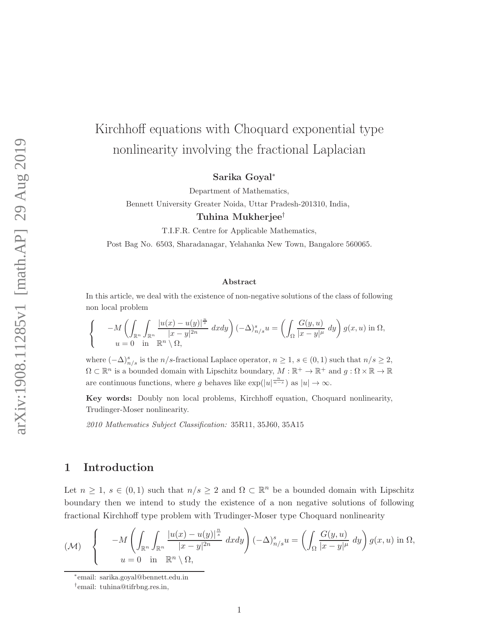# Kirchhoff equations with Choquard exponential type nonlinearity involving the fractional Laplacian

Sarika Goyal<sup>∗</sup>

Department of Mathematics,

Bennett University Greater Noida, Uttar Pradesh-201310, India,

### Tuhina Mukherjee†

T.I.F.R. Centre for Applicable Mathematics,

Post Bag No. 6503, Sharadanagar, Yelahanka New Town, Bangalore 560065.

### Abstract

In this article, we deal with the existence of non-negative solutions of the class of following non local problem

$$
\begin{cases}\n-M\left(\int_{\mathbb{R}^n}\int_{\mathbb{R}^n}\frac{|u(x)-u(y)|^{\frac{n}{s}}}{|x-y|^{2n}}\,dxdy\right)(-\Delta)^s_{n/s}u=\left(\int_{\Omega}\frac{G(y,u)}{|x-y|^{\mu}}\,dy\right)g(x,u)\text{ in }\Omega, \\
u=0\quad\text{in }\mathbb{R}^n\setminus\Omega,\n\end{cases}
$$

where  $(-\Delta)_{n/s}^s$  is the n/s-fractional Laplace operator,  $n \geq 1$ ,  $s \in (0,1)$  such that  $n/s \geq 2$ ,  $\Omega \subset \mathbb{R}^n$  is a bounded domain with Lipschitz boundary,  $M : \mathbb{R}^+ \to \mathbb{R}^+$  and  $g : \Omega \times \mathbb{R} \to \mathbb{R}$ are continuous functions, where g behaves like  $\exp(|u|^{\frac{n}{n-s}})$  as  $|u| \to \infty$ .

Key words: Doubly non local problems, Kirchhoff equation, Choquard nonlinearity, Trudinger-Moser nonlinearity.

2010 Mathematics Subject Classification: 35R11, 35J60, 35A15

# 1 Introduction

Let  $n \geq 1$ ,  $s \in (0,1)$  such that  $n/s \geq 2$  and  $\Omega \subset \mathbb{R}^n$  be a bounded domain with Lipschitz boundary then we intend to study the existence of a non negative solutions of following fractional Kirchhoff type problem with Trudinger-Moser type Choquard nonlinearity

$$
(\mathcal{M}) \quad \begin{cases} \quad -M\left(\int_{\mathbb{R}^n}\int_{\mathbb{R}^n}\frac{|u(x)-u(y)|^{\frac{n}{s}}}{|x-y|^{2n}}\,dxdy\right)(-\Delta)^s_{n/s}u = \left(\int_{\Omega}\frac{G(y,u)}{|x-y|^{\mu}}\,dy\right)g(x,u)\,\mathrm{in}\,\Omega, \\ u=0 \quad \mathrm{in}\quad \mathbb{R}^n\setminus\Omega, \end{cases}
$$

<sup>∗</sup> email: sarika.goyal@bennett.edu.in

<sup>†</sup> email: tuhina@tifrbng.res.in,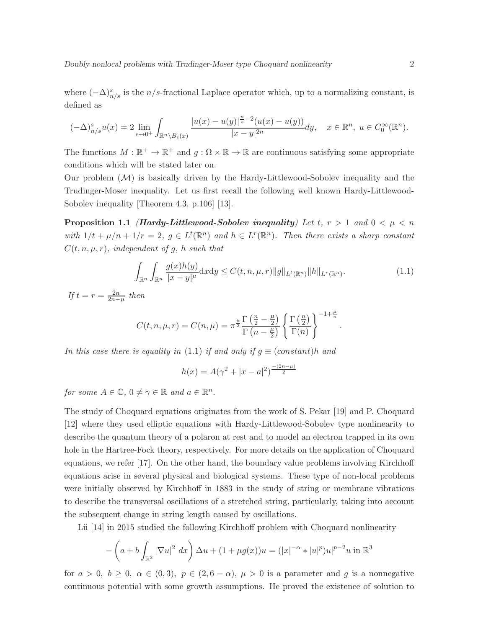where  $(-\Delta)^s_{n/s}$  is the n/s-fractional Laplace operator which, up to a normalizing constant, is defined as

$$
(-\Delta)^s_{n/s}u(x)=2\lim_{\epsilon\to 0^+}\int_{\mathbb{R}^n\backslash B_\epsilon(x)}\frac{|u(x)-u(y)|^{\frac{n}{s}-2}(u(x)-u(y))}{|x-y|^{2n}}dy,\quad x\in\mathbb{R}^n,\;u\in C_0^\infty(\mathbb{R}^n).
$$

The functions  $M : \mathbb{R}^+ \to \mathbb{R}^+$  and  $g : \Omega \times \mathbb{R} \to \mathbb{R}$  are continuous satisfying some appropriate conditions which will be stated later on.

Our problem  $(M)$  is basically driven by the Hardy-Littlewood-Sobolev inequality and the Trudinger-Moser inequality. Let us first recall the following well known Hardy-Littlewood-Sobolev inequality [Theorem 4.3, p.106] [13].

**Proposition 1.1** (Hardy-Littlewood-Sobolev inequality) Let t,  $r > 1$  and  $0 < \mu < n$ with  $1/t + \mu/n + 1/r = 2$ ,  $g \in L^t(\mathbb{R}^n)$  and  $h \in L^r(\mathbb{R}^n)$ . Then there exists a sharp constant  $C(t, n, \mu, r)$ , independent of g, h such that

$$
\int_{\mathbb{R}^n} \int_{\mathbb{R}^n} \frac{g(x)h(y)}{|x - y|^{\mu}} dx dy \le C(t, n, \mu, r) \|g\|_{L^t(\mathbb{R}^n)} \|h\|_{L^r(\mathbb{R}^n)}.
$$
\n(1.1)

.

If  $t = r = \frac{2n}{2n-\mu}$  then

$$
C(t, n, \mu, r) = C(n, \mu) = \pi^{\frac{\mu}{2}} \frac{\Gamma(\frac{n}{2} - \frac{\mu}{2})}{\Gamma(n - \frac{\mu}{2})} \left\{ \frac{\Gamma(\frac{n}{2})}{\Gamma(n)} \right\}^{-1 + \frac{\mu}{n}}
$$

In this case there is equality in (1.1) if and only if  $q \equiv (constant)h$  and

$$
h(x) = A(\gamma^2 + |x - a|^2)^{\frac{-(2n - \mu)}{2}}
$$

for some  $A \in \mathbb{C}$ ,  $0 \neq \gamma \in \mathbb{R}$  and  $a \in \mathbb{R}^n$ .

The study of Choquard equations originates from the work of S. Pekar [19] and P. Choquard [12] where they used elliptic equations with Hardy-Littlewood-Sobolev type nonlinearity to describe the quantum theory of a polaron at rest and to model an electron trapped in its own hole in the Hartree-Fock theory, respectively. For more details on the application of Choquard equations, we refer [17]. On the other hand, the boundary value problems involving Kirchhoff equations arise in several physical and biological systems. These type of non-local problems were initially observed by Kirchhoff in 1883 in the study of string or membrane vibrations to describe the transversal oscillations of a stretched string, particularly, taking into account the subsequent change in string length caused by oscillations.

Lü  $[14]$  in 2015 studied the following Kirchhoff problem with Choquard nonlinearity

$$
- \left( a + b \int_{\mathbb{R}^3} |\nabla u|^2 \, dx \right) \Delta u + (1 + \mu g(x)) u = (|x|^{-\alpha} * |u|^p) u|^{p-2} u \text{ in } \mathbb{R}^3
$$

for  $a > 0$ ,  $b \ge 0$ ,  $\alpha \in (0, 3)$ ,  $p \in (2, 6 - \alpha)$ ,  $\mu > 0$  is a parameter and g is a nonnegative continuous potential with some growth assumptions. He proved the existence of solution to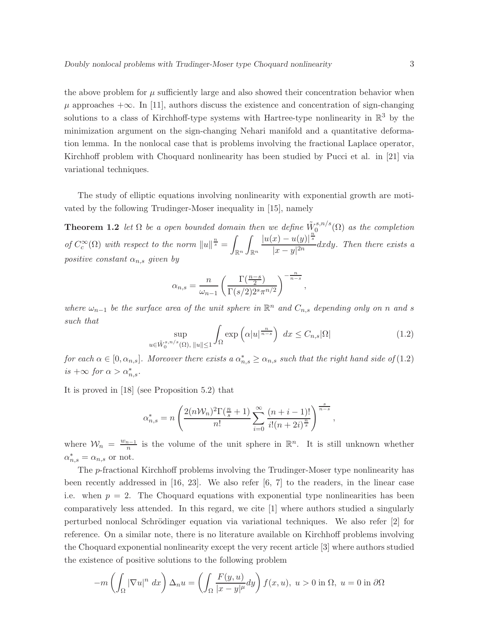the above problem for  $\mu$  sufficiently large and also showed their concentration behavior when  $\mu$  approaches  $+\infty$ . In [11], authors discuss the existence and concentration of sign-changing solutions to a class of Kirchhoff-type systems with Hartree-type nonlinearity in  $\mathbb{R}^3$  by the minimization argument on the sign-changing Nehari manifold and a quantitative deformation lemma. In the nonlocal case that is problems involving the fractional Laplace operator, Kirchhoff problem with Choquard nonlinearity has been studied by Pucci et al. in [21] via variational techniques.

The study of elliptic equations involving nonlinearity with exponential growth are motivated by the following Trudinger-Moser inequality in [15], namely

**Theorem 1.2** let  $\Omega$  be a open bounded domain then we define  $\tilde{W}_0^{s,n/s}$  $\int_0^{s,n/s}$  ( $\Omega$ ) as the completion of  $C_c^{\infty}(\Omega)$  with respect to the norm  $||u||^{\frac{n}{s}} = \rho$ Rn Z Rn  $|u(x) - u(y)|^{\frac{n}{s}}$  $\frac{d(x,y)}{|x-y|^{2n}}$  dxdy. Then there exists a positive constant  $\alpha_{n,s}$  given by

$$
\alpha_{n,s} = \frac{n}{\omega_{n-1}} \left( \frac{\Gamma(\frac{n-s}{2})}{\Gamma(s/2) 2^s \pi^{n/2}} \right)^{-\frac{n}{n-s}},
$$

where  $\omega_{n-1}$  be the surface area of the unit sphere in  $\mathbb{R}^n$  and  $C_{n,s}$  depending only on n and s such that

$$
\sup_{u \in \tilde{W}_0^{s,n/s}(\Omega), \|u\| \le 1} \int_{\Omega} \exp\left(\alpha |u|^{\frac{n}{n-s}}\right) dx \le C_{n,s} |\Omega| \tag{1.2}
$$

for each  $\alpha \in [0, \alpha_{n,s}]$ . Moreover there exists a  $\alpha_{n,s}^* \ge \alpha_{n,s}$  such that the right hand side of (1.2) is  $+\infty$  for  $\alpha > \alpha_{n,s}^*$ .

It is proved in [18] (see Proposition 5.2) that

$$
\alpha_{n,s}^* = n \left( \frac{2(n\mathcal{W}_n)^2 \Gamma(\frac{n}{s} + 1)}{n!} \sum_{i=0}^{\infty} \frac{(n+i-1)!}{i!(n+2i)^{\frac{n}{s}}} \right)^{\frac{s}{n-s}},
$$

where  $\mathcal{W}_n = \frac{w_{n-1}}{n}$  $\frac{n-1}{n}$  is the volume of the unit sphere in  $\mathbb{R}^n$ . It is still unknown whether  $\alpha_{n,s}^* = \alpha_{n,s}$  or not.

The p-fractional Kirchhoff problems involving the Trudinger-Moser type nonlinearity has been recently addressed in  $[16, 23]$ . We also refer  $[6, 7]$  to the readers, in the linear case i.e. when  $p = 2$ . The Choquard equations with exponential type nonlinearities has been comparatively less attended. In this regard, we cite [1] where authors studied a singularly perturbed nonlocal Schrödinger equation via variational techniques. We also refer  $\lfloor 2 \rfloor$  for reference. On a similar note, there is no literature available on Kirchhoff problems involving the Choquard exponential nonlinearity except the very recent article [3] where authors studied the existence of positive solutions to the following problem

$$
-m\left(\int_{\Omega}|\nabla u|^n\ dx\right)\Delta_n u = \left(\int_{\Omega}\frac{F(y,u)}{|x-y|^{\mu}}dy\right)f(x,u),\ u>0\ \text{in}\ \Omega,\ u=0\ \text{in}\ \partial\Omega
$$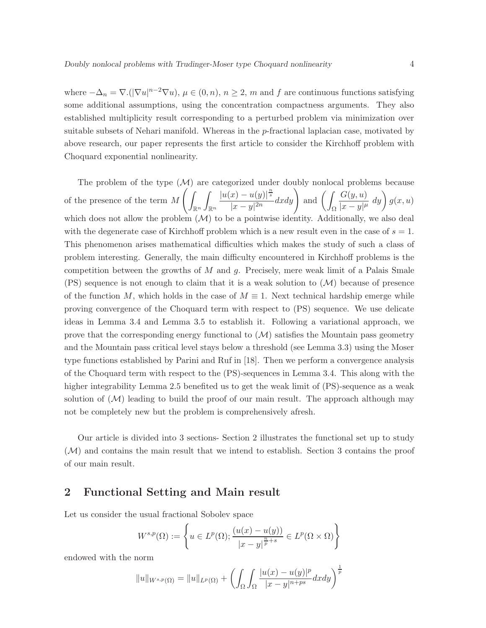where  $-\Delta_n = \nabla \cdot (\nabla u)^{n-2} \nabla u$ ,  $\mu \in (0, n)$ ,  $n \ge 2$ , m and f are continuous functions satisfying some additional assumptions, using the concentration compactness arguments. They also established multiplicity result corresponding to a perturbed problem via minimization over suitable subsets of Nehari manifold. Whereas in the p-fractional laplacian case, motivated by above research, our paper represents the first article to consider the Kirchhoff problem with Choquard exponential nonlinearity.

The problem of the type  $(M)$  are categorized under doubly nonlocal problems because of the presence of the term  $M\left(\frac{1}{2}\right)$  $\mathbb{R}^n$ Z Rn  $|u(x) - u(y)|^{\frac{n}{s}}$  $\frac{|x| - u(y)|^{\frac{n}{s}}}{|x - y|^{2n}} dx dy$  and  $\left(\int$ Ω  $G(y,u)$  $\frac{G(y,u)}{|x-y|^{\mu}} dy\bigg) g(x,u)$ which does not allow the problem  $(M)$  to be a pointwise identity. Additionally, we also deal with the degenerate case of Kirchhoff problem which is a new result even in the case of  $s = 1$ . This phenomenon arises mathematical difficulties which makes the study of such a class of problem interesting. Generally, the main difficulty encountered in Kirchhoff problems is the competition between the growths of  $M$  and  $g$ . Precisely, mere weak limit of a Palais Smale  $(PS)$  sequence is not enough to claim that it is a weak solution to  $(M)$  because of presence of the function M, which holds in the case of  $M \equiv 1$ . Next technical hardship emerge while proving convergence of the Choquard term with respect to (PS) sequence. We use delicate ideas in Lemma 3.4 and Lemma 3.5 to establish it. Following a variational approach, we prove that the corresponding energy functional to  $(M)$  satisfies the Mountain pass geometry and the Mountain pass critical level stays below a threshold (see Lemma 3.3) using the Moser type functions established by Parini and Ruf in [18]. Then we perform a convergence analysis of the Choquard term with respect to the (PS)-sequences in Lemma 3.4. This along with the higher integrability Lemma 2.5 benefited us to get the weak limit of  $(PS)$ -sequence as a weak solution of  $(M)$  leading to build the proof of our main result. The approach although may not be completely new but the problem is comprehensively afresh.

Our article is divided into 3 sections- Section 2 illustrates the functional set up to study  $(\mathcal{M})$  and contains the main result that we intend to establish. Section 3 contains the proof of our main result.

## 2 Functional Setting and Main result

Let us consider the usual fractional Sobolev space

$$
W^{s,p}(\Omega) := \left\{ u \in L^p(\Omega) ; \frac{(u(x) - u(y))}{|x - y|^{\frac{n}{p} + s}} \in L^p(\Omega \times \Omega) \right\}
$$

endowed with the norm

$$
||u||_{W^{s,p}(\Omega)} = ||u||_{L^p(\Omega)} + \left( \int_{\Omega} \int_{\Omega} \frac{|u(x) - u(y)|^p}{|x - y|^{n+ps}} dx dy \right)^{\frac{1}{p}}
$$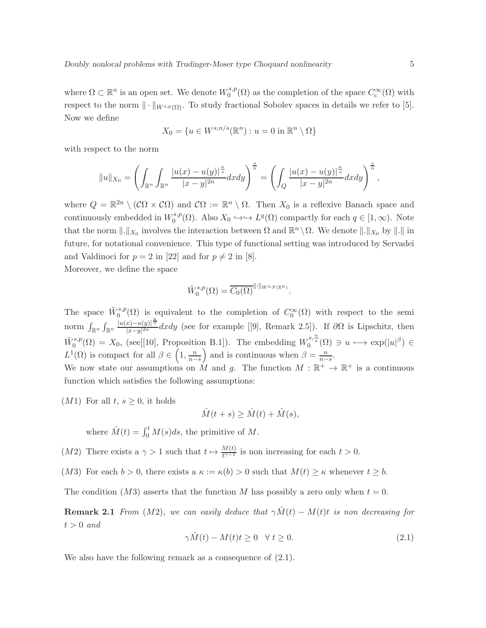where  $\Omega \subset \mathbb{R}^n$  is an open set. We denote  $W_0^{s,p}$  $C_c^{s,p}(\Omega)$  as the completion of the space  $C_c^{\infty}(\Omega)$  with respect to the norm  $\|\cdot\|_{W^{s,p}(\Omega)}$ . To study fractional Sobolev spaces in details we refer to [5]. Now we define

$$
X_0 = \{ u \in W^{s,n/s}(\mathbb{R}^n) : u = 0 \text{ in } \mathbb{R}^n \setminus \Omega \}
$$

with respect to the norm

$$
||u||_{X_0} = \left(\int_{\mathbb{R}^n} \int_{\mathbb{R}^n} \frac{|u(x) - u(y)|^{\frac{n}{s}}}{|x - y|^{2n}} dx dy\right)^{\frac{s}{n}} = \left(\int_Q \frac{|u(x) - u(y)|^{\frac{n}{s}}}{|x - y|^{2n}} dx dy\right)^{\frac{s}{n}},
$$

where  $Q = \mathbb{R}^{2n} \setminus (\mathcal{C}\Omega \times \mathcal{C}\Omega)$  and  $\mathcal{C}\Omega := \mathbb{R}^n \setminus \Omega$ . Then  $X_0$  is a reflexive Banach space and continuously embedded in  $W_0^{s,p}$  $L_0^{s,p}(\Omega)$ . Also  $X_0 \hookrightarrow \hookrightarrow L^q(\Omega)$  compactly for each  $q \in [1,\infty)$ . Note that the norm  $\|.\|_{X_0}$  involves the interaction between  $\Omega$  and  $\mathbb{R}^n \setminus \Omega$ . We denote  $\|.\|_{X_0}$  by  $\|.\|$  in future, for notational convenience. This type of functional setting was introduced by Servadei and Valdinoci for  $p = 2$  in [22] and for  $p \neq 2$  in [8].

Moreover, we define the space

$$
\widetilde{W}^{s,p}_0(\Omega) = \overline{C_0(\Omega)}^{\|\cdot\|_{W^{s,p}(\mathbb{R}^n)}}.
$$

The space  $\tilde{W}^{s,p}_0(\Omega)$  is equivalent to the completion of  $C_0^{\infty}(\Omega)$  with respect to the semi norm  $\int_{\mathbb{R}^n} \int_{\mathbb{R}^n} \frac{|u(x)-u(y)|^{\frac{n}{s}}}{|x-y|^{2n}}$  $\frac{(x)-a(y)}{(x-y)^{2n}}dx\,dy$  (see for example [[9], Remark 2.5]). If  $\partial\Omega$  is Lipschitz, then  $\tilde{W}_0^{s,p}(\Omega) = X_0$ , (see[[10], Proposition B.1]). The embedding  $W_0^{s,\frac{n}{s}}(\Omega) \ni u \longmapsto \exp(|u|^{\beta}) \in$  $L^1(\Omega)$  is compact for all  $\beta \in \left(1, \frac{n}{n-s}\right)$  and is continuous when  $\beta = \frac{n}{n-s}$ . We now state our assumptions on  $\hat{M}$  and g. The function  $M : \mathbb{R}^+ \to \mathbb{R}^+$  is a continuous

function which satisfies the following assumptions:

 $(M1)$  For all  $t, s \geq 0$ , it holds

$$
\hat{M}(t+s) \ge \hat{M}(t) + \hat{M}(s),
$$

where  $\hat{M}(t) = \int_0^t M(s)ds$ , the primitive of M.

- (M2) There exists a  $\gamma > 1$  such that  $t \mapsto \frac{M(t)}{t^{\gamma-1}}$  is non increasing for each  $t > 0$ .
- (M3) For each  $b > 0$ , there exists a  $\kappa := \kappa(b) > 0$  such that  $M(t) \geq \kappa$  whenever  $t \geq b$ .

The condition (M3) asserts that the function M has possibly a zero only when  $t = 0$ .

**Remark 2.1** From (M2), we can easily deduce that  $\gamma \hat{M}(t) - M(t)t$  is non decreasing for  $t > 0$  and

$$
\gamma \hat{M}(t) - M(t)t \ge 0 \quad \forall \ t \ge 0. \tag{2.1}
$$

We also have the following remark as a consequence of  $(2.1)$ .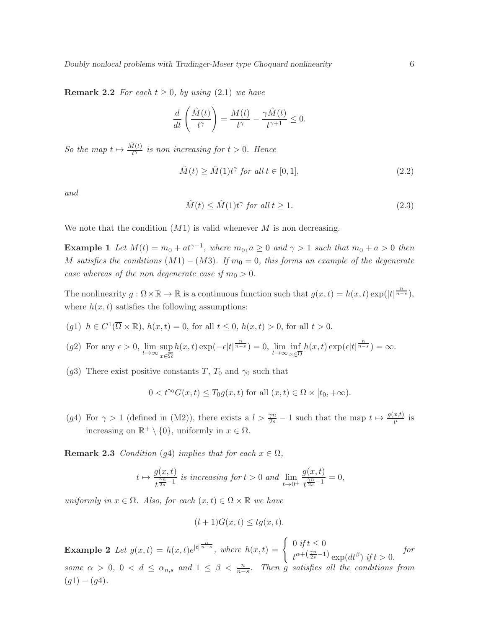**Remark 2.2** For each  $t \geq 0$ , by using (2.1) we have

$$
\frac{d}{dt}\left(\frac{\hat{M}(t)}{t^{\gamma}}\right) = \frac{M(t)}{t^{\gamma}} - \frac{\gamma \hat{M}(t)}{t^{\gamma+1}} \leq 0.
$$

So the map  $t \mapsto \frac{\hat{M}(t)}{t^{\gamma}}$  is non increasing for  $t > 0$ . Hence

$$
\hat{M}(t) \ge \hat{M}(1)t^{\gamma} \text{ for all } t \in [0, 1],\tag{2.2}
$$

and

$$
\hat{M}(t) \le \hat{M}(1)t^{\gamma} \text{ for all } t \ge 1. \tag{2.3}
$$

We note that the condition  $(M1)$  is valid whenever M is non decreasing.

**Example 1** Let  $M(t) = m_0 + at^{\gamma-1}$ , where  $m_0, a \geq 0$  and  $\gamma > 1$  such that  $m_0 + a > 0$  then M satisfies the conditions  $(M1) - (M3)$ . If  $m_0 = 0$ , this forms an example of the degenerate case whereas of the non degenerate case if  $m_0 > 0$ .

The nonlinearity  $g: \Omega \times \mathbb{R} \to \mathbb{R}$  is a continuous function such that  $g(x,t) = h(x,t) \exp(|t|^{\frac{n}{n-s}})$ , where  $h(x, t)$  satisfies the following assumptions:

- (g1)  $h \in C^1(\overline{\Omega} \times \mathbb{R})$ ,  $h(x,t) = 0$ , for all  $t \leq 0$ ,  $h(x,t) > 0$ , for all  $t > 0$ .
- (g2) For any  $\epsilon > 0$ ,  $\lim_{t \to \infty} \sup_{\substack{\pi \in \overline{\Omega}}}$ x∈Ω  $h(x,t) \exp(-\epsilon |t|^{\frac{n}{n-s}}) = 0$ ,  $\lim_{t \to \infty} \inf_{x \in \overline{\mathcal{S}}}$ x∈Ω  $h(x,t) \exp\left(\epsilon |t|^{\frac{n}{n-s}}\right) = \infty.$
- (g3) There exist positive constants T,  $T_0$  and  $\gamma_0$  such that

$$
0 < t^{\gamma_0} G(x, t) \le T_0 g(x, t)
$$
 for all  $(x, t) \in \Omega \times [t_0, +\infty)$ .

(g4) For  $\gamma > 1$  (defined in (M2)), there exists a  $l > \frac{\gamma n}{2s} - 1$  such that the map  $t \mapsto \frac{g(x,t)}{t}$  is increasing on  $\mathbb{R}^+ \setminus \{0\}$ , uniformly in  $x \in \Omega$ .

**Remark 2.3** Condition (g4) implies that for each  $x \in \Omega$ ,

$$
t \mapsto \frac{g(x,t)}{t^{\frac{\gamma n}{2s}-1}} \text{ is increasing for } t > 0 \text{ and } \lim_{t \to 0^+} \frac{g(x,t)}{t^{\frac{\gamma n}{2s}-1}} = 0,
$$

uniformly in  $x \in \Omega$ . Also, for each  $(x, t) \in \Omega \times \mathbb{R}$  we have

$$
(l+1)G(x,t) \leq tg(x,t).
$$

**Example 2** Let  $g(x,t) = h(x,t)e^{|t|^{\frac{n}{n-s}}},$  where  $h(x,t) = \begin{cases} 0 & \text{if } t \leq 0 \\ 0 & \text{if } t \leq n-1 \end{cases}$  $t^{\alpha+\left(\frac{\gamma n}{2s}-1\right)}\exp(dt^{\beta})$  if  $t>0$ . for some  $\alpha > 0$ ,  $0 < d \le \alpha_{n,s}$  and  $1 \le \beta < \frac{n}{n-s}$ . Then g satisfies all the conditions from  $(g1) - (g4).$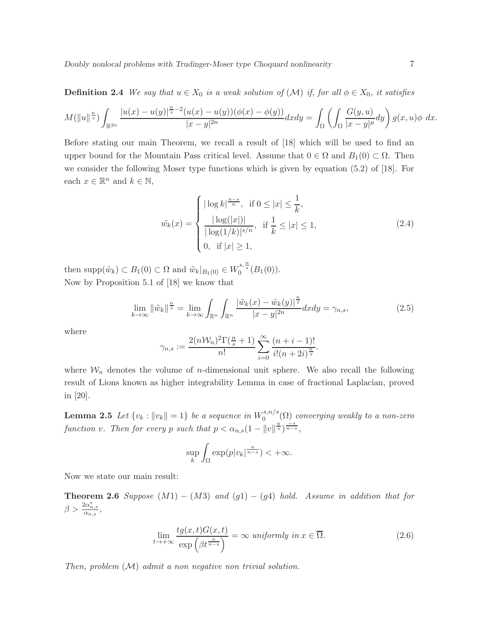**Definition 2.4** We say that  $u \in X_0$  is a weak solution of  $(\mathcal{M})$  if, for all  $\phi \in X_0$ , it satisfies

$$
M(\|u\|^{\frac{n}{s}})\int_{\mathbb{R}^{2n}}\frac{|u(x)-u(y)|^{\frac{n}{s}-2}(u(x)-u(y))(\phi(x)-\phi(y))}{|x-y|^{2n}}dxdy=\int_{\Omega}\left(\int_{\Omega}\frac{G(y,u)}{|x-y|^{\mu}}dy\right)g(x,u)\phi\ dx.
$$

Before stating our main Theorem, we recall a result of [18] which will be used to find an upper bound for the Mountain Pass critical level. Assume that  $0 \in \Omega$  and  $B_1(0) \subset \Omega$ . Then we consider the following Moser type functions which is given by equation (5.2) of [18]. For each  $x \in \mathbb{R}^n$  and  $k \in \mathbb{N}$ ,

$$
\tilde{w_k}(x) = \begin{cases}\n|\log k|^{\frac{n-s}{n}}, & \text{if } 0 \le |x| \le \frac{1}{k}, \\
\frac{|\log(|x|)|}{|\log(1/k)|^{s/n}}, & \text{if } \frac{1}{k} \le |x| \le 1, \\
0, & \text{if } |x| \ge 1,\n\end{cases}
$$
\n(2.4)

then supp $(\tilde{w}_k) \subset B_1(0) \subset \Omega$  and  $\tilde{w}_k|_{B_1(0)} \in W_0^{s, \frac{n}{s}}(B_1(0)).$ Now by Proposition 5.1 of [18] we know that

$$
\lim_{k \to \infty} \|\tilde{w}_k\|^{\frac{n}{s}} = \lim_{k \to \infty} \int_{\mathbb{R}^n} \int_{\mathbb{R}^n} \frac{|\tilde{w}_k(x) - \tilde{w}_k(y)|^{\frac{n}{s}}}{|x - y|^{2n}} dx dy = \gamma_{n,s},\tag{2.5}
$$

where

$$
\gamma_{n,s} := \frac{2(n\mathcal{W}_n)^2 \Gamma(\frac{n}{s}+1)}{n!} \sum_{i=0}^{\infty} \frac{(n+i-1)!}{i!(n+2i)^{\frac{n}{s}}}.
$$

where  $\mathcal{W}_n$  denotes the volume of *n*-dimensional unit sphere. We also recall the following result of Lions known as higher integrability Lemma in case of fractional Laplacian, proved in [20].

**Lemma 2.5** Let  $\{v_k : ||v_k|| = 1\}$  be a sequence in  $W_0^{s,n/s}$  $\mathcal{O}_0^{s,n/s}(\Omega)$  converging weakly to a non-zero function v. Then for every p such that  $p < \alpha_{n,s} (1 - ||v||^{\frac{n}{s}})^{\frac{-s}{n-s}},$ 

$$
\sup_{k} \int_{\Omega} \exp(p|v_k|^{\frac{n}{n-s}}) < +\infty.
$$

Now we state our main result:

**Theorem 2.6** Suppose  $(M1) - (M3)$  and  $(g1) - (g4)$  hold. Assume in addition that for  $\beta > \frac{2\alpha_{n,s}^*}{\alpha_{n,s}},$ 

$$
\lim_{t \to +\infty} \frac{tg(x,t)G(x,t)}{\exp\left(\beta t^{\frac{n}{n-s}}\right)} = \infty \text{ uniformly in } x \in \overline{\Omega}.
$$
\n(2.6)

Then, problem  $(M)$  admit a non negative non trivial solution.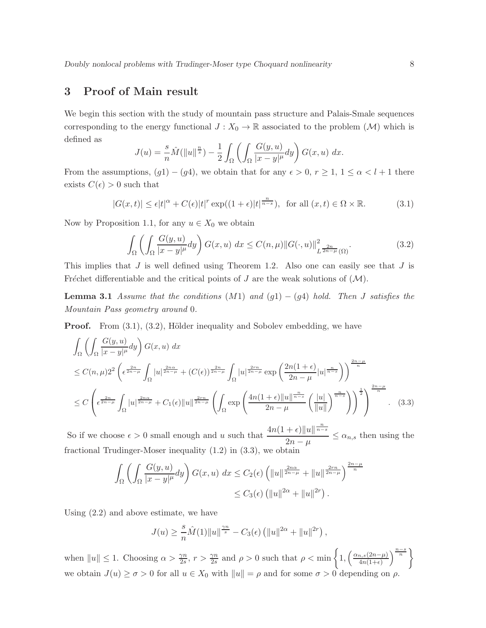## 3 Proof of Main result

We begin this section with the study of mountain pass structure and Palais-Smale sequences corresponding to the energy functional  $J : X_0 \to \mathbb{R}$  associated to the problem  $(\mathcal{M})$  which is defined as

$$
J(u) = \frac{s}{n}\hat{M}(\|u\|^{\frac{n}{s}}) - \frac{1}{2} \int_{\Omega} \left( \int_{\Omega} \frac{G(y, u)}{|x - y|^{\mu}} dy \right) G(x, u) dx.
$$

From the assumptions,  $(g1) - (g4)$ , we obtain that for any  $\epsilon > 0$ ,  $r \ge 1$ ,  $1 \le \alpha < l + 1$  there exists  $C(\epsilon) > 0$  such that

$$
|G(x,t)| \le \epsilon |t|^{\alpha} + C(\epsilon)|t|^r \exp((1+\epsilon)|t|^{\frac{n}{n-s}}), \text{ for all } (x,t) \in \Omega \times \mathbb{R}.
$$
 (3.1)

Now by Proposition 1.1, for any  $u \in X_0$  we obtain

$$
\int_{\Omega} \left( \int_{\Omega} \frac{G(y, u)}{|x - y|^{\mu}} dy \right) G(x, u) dx \le C(n, \mu) \|G(\cdot, u)\|_{L^{\frac{2n}{2n - \mu}}(\Omega)}^2.
$$
\n(3.2)

This implies that  $J$  is well defined using Theorem 1.2. Also one can easily see that  $J$  is Fréchet differentiable and the critical points of J are the weak solutions of  $(M)$ .

**Lemma 3.1** Assume that the conditions  $(M1)$  and  $(g1) - (g4)$  hold. Then J satisfies the Mountain Pass geometry around 0.

**Proof.** From  $(3.1)$ ,  $(3.2)$ , Hölder inequality and Sobolev embedding, we have

$$
\int_{\Omega} \left( \int_{\Omega} \frac{G(y, u)}{|x - y|^{\mu}} dy \right) G(x, u) dx
$$
\n
$$
\leq C(n, \mu) 2^{2} \left( \epsilon^{\frac{2n}{2n - \mu}} \int_{\Omega} |u|^{\frac{2n \alpha}{2n - \mu}} + (C(\epsilon))^{\frac{2n}{2n - \mu}} \int_{\Omega} |u|^{\frac{2r n}{2n - \mu}} \exp\left(\frac{2n(1 + \epsilon)}{2n - \mu} |u|^{\frac{n}{n - s}}\right) \right)^{\frac{2n - \mu}{n}}
$$
\n
$$
\leq C \left( \epsilon^{\frac{2n}{2n - \mu}} \int_{\Omega} |u|^{\frac{2n \alpha}{2n - \mu}} + C_{1}(\epsilon) \|u\|^{\frac{2r n}{2n - \mu}} \left( \int_{\Omega} \exp\left(\frac{4n(1 + \epsilon) \|u\|^{\frac{n}{n - s}}}{2n - \mu} \left(\frac{|u|}{\|u\|}\right)^{\frac{n}{n - s}}\right) \right)^{\frac{1}{2}} \right)^{\frac{2n - \mu}{n}}. \quad (3.3)
$$

So if we choose  $\epsilon > 0$  small enough and u such that  $\frac{4n(1+\epsilon)\|u\|^{\frac{n}{n-s}}}{2}$  $\frac{1-\epsilon}{2n-\mu} \leq \alpha_{n,s}$  then using the fractional Trudinger-Moser inequality (1.2) in (3.3), we obtain

$$
\int_{\Omega} \left( \int_{\Omega} \frac{G(y, u)}{|x - y|^{\mu}} dy \right) G(x, u) dx \le C_2(\epsilon) \left( ||u||^{\frac{2n\alpha}{2n - \mu}} + ||u||^{\frac{2r n}{2n - \mu}} \right)^{\frac{2n - \mu}{n}}
$$
  

$$
\le C_3(\epsilon) \left( ||u||^{2\alpha} + ||u||^{2r} \right).
$$

Using (2.2) and above estimate, we have

$$
J(u) \ge \frac{s}{n} \hat{M}(1) \|u\|^{\frac{\gamma n}{s}} - C_3(\epsilon) \left( \|u\|^{2\alpha} + \|u\|^{2r} \right),
$$

when  $||u|| \leq 1$ . Choosing  $\alpha > \frac{\gamma n}{2s}$ ,  $r > \frac{\gamma n}{2s}$  and  $\rho > 0$  such that  $\rho < \min\left\{1, \left(\frac{\alpha_{n,s}(2n-\mu)}{4n(1+\epsilon)}\right)\right\}$  $\left\{\frac{a,s(2n-\mu)}{4n(1+\epsilon)}\right\}^{\frac{n-s}{n}}$ we obtain  $J(u) \ge \sigma > 0$  for all  $u \in X_0$  with  $||u|| = \rho$  and for some  $\sigma > 0$  depending on  $\rho$ .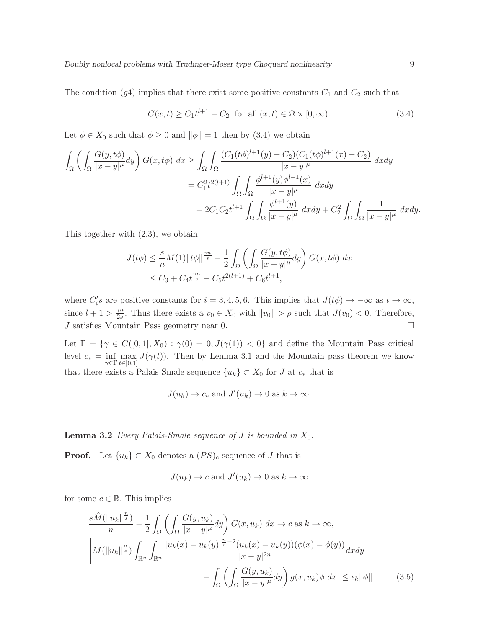The condition  $(g4)$  implies that there exist some positive constants  $C_1$  and  $C_2$  such that

$$
G(x,t) \ge C_1 t^{l+1} - C_2 \text{ for all } (x,t) \in \Omega \times [0,\infty).
$$
 (3.4)

Let  $\phi \in X_0$  such that  $\phi \ge 0$  and  $\|\phi\| = 1$  then by (3.4) we obtain

$$
\int_{\Omega} \left( \int_{\Omega} \frac{G(y, t\phi)}{|x - y|^{\mu}} dy \right) G(x, t\phi) dx \ge \int_{\Omega} \int_{\Omega} \frac{(C_1(t\phi)^{l+1}(y) - C_2)(C_1(t\phi)^{l+1}(x) - C_2)}{|x - y|^{\mu}} dx dy
$$
  
\n
$$
= C_1^2 t^{2(l+1)} \int_{\Omega} \int_{\Omega} \frac{\phi^{l+1}(y)\phi^{l+1}(x)}{|x - y|^{\mu}} dx dy
$$
  
\n
$$
- 2C_1 C_2 t^{l+1} \int_{\Omega} \int_{\Omega} \frac{\phi^{l+1}(y)}{|x - y|^{\mu}} dx dy + C_2^2 \int_{\Omega} \int_{\Omega} \frac{1}{|x - y|^{\mu}} dx dy.
$$

This together with (2.3), we obtain

$$
J(t\phi) \leq \frac{s}{n} M(1) \|t\phi\|^{\frac{\gamma n}{s}} - \frac{1}{2} \int_{\Omega} \left( \int_{\Omega} \frac{G(y, t\phi)}{|x - y|^{\mu}} dy \right) G(x, t\phi) dx
$$
  

$$
\leq C_3 + C_4 t^{\frac{\gamma n}{s}} - C_5 t^{2(l+1)} + C_6 t^{l+1},
$$

where  $C_i's$  are positive constants for  $i = 3, 4, 5, 6$ . This implies that  $J(t\phi) \to -\infty$  as  $t \to \infty$ , since  $l + 1 > \frac{\gamma n}{2s}$  $\frac{\gamma n}{2s}$ . Thus there exists a  $v_0 \in X_0$  with  $||v_0|| > \rho$  such that  $J(v_0) < 0$ . Therefore, J satisfies Mountain Pass geometry near 0.

Let  $\Gamma = \{ \gamma \in C([0,1], X_0) : \gamma(0) = 0, J(\gamma(1)) < 0 \}$  and define the Mountain Pass critical level  $c_* = \inf_{\gamma \in \Gamma} \max_{t \in [0,1]} J(\gamma(t))$ . Then by Lemma 3.1 and the Mountain pass theorem we know that there exists a Palais Smale sequence  ${u_k} \subset X_0$  for J at  $c_*$  that is

$$
J(u_k) \to c_*
$$
 and  $J'(u_k) \to 0$  as  $k \to \infty$ .

**Lemma 3.2** Every Palais-Smale sequence of  $J$  is bounded in  $X_0$ .

**Proof.** Let  $\{u_k\} \subset X_0$  denotes a  $(PS)_c$  sequence of J that is

$$
J(u_k) \to c
$$
 and  $J'(u_k) \to 0$  as  $k \to \infty$ 

for some  $c \in \mathbb{R}$ . This implies

$$
\frac{s\hat{M}(\|u_k\|^{\frac{n}{s}})}{n} - \frac{1}{2} \int_{\Omega} \left( \int_{\Omega} \frac{G(y, u_k)}{|x - y|^{\mu}} dy \right) G(x, u_k) dx \to c \text{ as } k \to \infty,
$$
  

$$
\left| M(\|u_k\|^{\frac{n}{s}}) \int_{\mathbb{R}^n} \int_{\mathbb{R}^n} \frac{|u_k(x) - u_k(y)|^{\frac{n}{s} - 2} (u_k(x) - u_k(y)) (\phi(x) - \phi(y))}{|x - y|^{2n}} dx dy \right|
$$
  

$$
- \int_{\Omega} \left( \int_{\Omega} \frac{G(y, u_k)}{|x - y|^{\mu}} dy \right) g(x, u_k) \phi dx \right| \le \epsilon_k \|\phi\| \qquad (3.5)
$$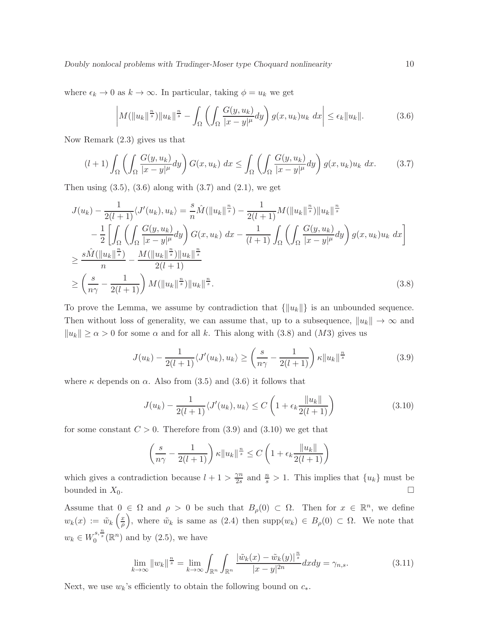where  $\epsilon_k \to 0$  as  $k \to \infty$ . In particular, taking  $\phi = u_k$  we get

$$
\left| M(\|u_k\|^{\frac{n}{s}})\|u_k\|^{\frac{n}{s}} - \int_{\Omega} \left( \int_{\Omega} \frac{G(y, u_k)}{|x - y|^{\mu}} dy \right) g(x, u_k) u_k dx \right| \leq \epsilon_k \|u_k\|.
$$
 (3.6)

Now Remark (2.3) gives us that

$$
(l+1)\int_{\Omega}\left(\int_{\Omega}\frac{G(y,u_k)}{|x-y|^{\mu}}dy\right)G(x,u_k)\ dx\leq \int_{\Omega}\left(\int_{\Omega}\frac{G(y,u_k)}{|x-y|^{\mu}}dy\right)g(x,u_k)u_k\ dx.\tag{3.7}
$$

Then using  $(3.5)$ ,  $(3.6)$  along with  $(3.7)$  and  $(2.1)$ , we get

$$
J(u_k) - \frac{1}{2(l+1)} \langle J'(u_k), u_k \rangle = \frac{s}{n} \hat{M}(\|u_k\|^{\frac{n}{s}}) - \frac{1}{2(l+1)} M(\|u_k\|^{\frac{n}{s}}) \|u_k\|^{\frac{n}{s}} - \frac{1}{2} \left[ \int_{\Omega} \left( \int_{\Omega} \frac{G(y, u_k)}{|x - y|^{\mu}} dy \right) G(x, u_k) dx - \frac{1}{(l+1)} \int_{\Omega} \left( \int_{\Omega} \frac{G(y, u_k)}{|x - y|^{\mu}} dy \right) g(x, u_k) u_k dx \right] \geq \frac{s \hat{M}(\|u_k\|^{\frac{n}{s}})}{n} - \frac{M(\|u_k\|^{\frac{n}{s}}) \|u_k\|^{\frac{n}{s}}}{2(l+1)} \geq \left( \frac{s}{n\gamma} - \frac{1}{2(l+1)} \right) M(\|u_k\|^{\frac{n}{s}}) \|u_k\|^{\frac{n}{s}}.
$$
\n(3.8)

To prove the Lemma, we assume by contradiction that  $\{\Vert u_k \Vert\}$  is an unbounded sequence. Then without loss of generality, we can assume that, up to a subsequence,  $||u_k|| \to \infty$  and  $||u_k|| \ge \alpha > 0$  for some  $\alpha$  and for all k. This along with (3.8) and (M3) gives us

$$
J(u_k) - \frac{1}{2(l+1)} \langle J'(u_k), u_k \rangle \ge \left(\frac{s}{n\gamma} - \frac{1}{2(l+1)}\right) \kappa \|u_k\|^{\frac{n}{s}} \tag{3.9}
$$

where  $\kappa$  depends on  $\alpha$ . Also from (3.5) and (3.6) it follows that

$$
J(u_k) - \frac{1}{2(l+1)} \langle J'(u_k), u_k \rangle \le C \left( 1 + \epsilon_k \frac{\|u_k\|}{2(l+1)} \right) \tag{3.10}
$$

for some constant  $C > 0$ . Therefore from  $(3.9)$  and  $(3.10)$  we get that

$$
\left(\frac{s}{n\gamma} - \frac{1}{2(l+1)}\right) \kappa \|u_k\|^{\frac{n}{s}} \le C \left(1 + \epsilon_k \frac{\|u_k\|}{2(l+1)}\right)
$$

which gives a contradiction because  $l + 1 > \frac{\gamma n}{2s}$  $\frac{\gamma n}{2s}$  and  $\frac{n}{s} > 1$ . This implies that  $\{u_k\}$  must be bounded in  $X_0$ .

Assume that  $0 \in \Omega$  and  $\rho > 0$  be such that  $B_{\rho}(0) \subset \Omega$ . Then for  $x \in \mathbb{R}^n$ , we define  $w_k(x) := \tilde{w}_k\left(\frac{x}{\rho}\right)$  $(\frac{x}{\rho})$ , where  $\tilde{w}_k$  is same as (2.4) then supp $(w_k) \in B_\rho(0) \subset \Omega$ . We note that  $w_k \in W_0^{s, \frac{n}{s}}(\mathbb{R}^n)$  and by  $(2.5)$ , we have

$$
\lim_{k \to \infty} \|w_k\|^{\frac{n}{s}} = \lim_{k \to \infty} \int_{\mathbb{R}^n} \int_{\mathbb{R}^n} \frac{|\tilde{w}_k(x) - \tilde{w}_k(y)|^{\frac{n}{s}}}{|x - y|^{2n}} dx dy = \gamma_{n,s}.
$$
\n(3.11)

Next, we use  $w_k$ 's efficiently to obtain the following bound on  $c_*$ .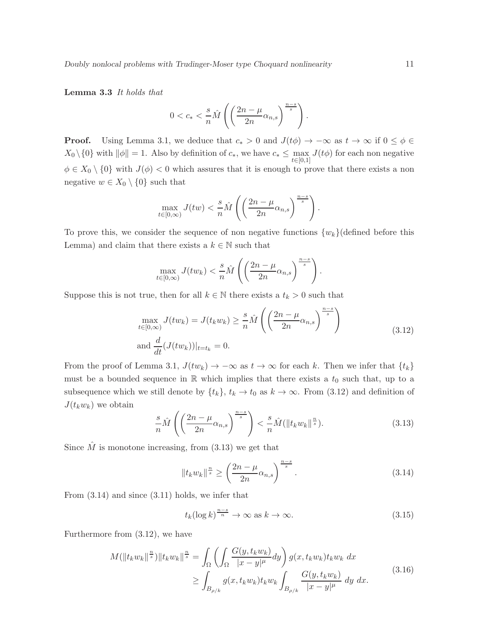Lemma 3.3 It holds that

$$
0 < c_* < \frac{s}{n} \widehat{M} \left( \left( \frac{2n - \mu}{2n} \alpha_{n,s} \right)^{\frac{n-s}{s}} \right).
$$

**Proof.** Using Lemma 3.1, we deduce that  $c_* > 0$  and  $J(t\phi) \to -\infty$  as  $t \to \infty$  if  $0 \le \phi \in$  $X_0 \setminus \{0\}$  with  $\|\phi\| = 1$ . Also by definition of  $c_*,$  we have  $c_* \le \max_{t \in [0,1]} J(t\phi)$  for each non negative  $\phi \in X_0 \setminus \{0\}$  with  $J(\phi) < 0$  which assures that it is enough to prove that there exists a non negative  $w \in X_0 \setminus \{0\}$  such that

$$
\max_{t \in [0,\infty)} J(tw) < \frac{s}{n} \hat{M}\left( \left(\frac{2n-\mu}{2n} \alpha_{n,s}\right)^{\frac{n-s}{s}} \right).
$$

To prove this, we consider the sequence of non negative functions  $\{w_k\}$  (defined before this Lemma) and claim that there exists a  $k \in \mathbb{N}$  such that

$$
\max_{t \in [0,\infty)} J(tw_k) < \frac{s}{n} \hat{M}\left( \left(\frac{2n-\mu}{2n} \alpha_{n,s}\right)^{\frac{n-s}{s}} \right).
$$

Suppose this is not true, then for all  $k \in \mathbb{N}$  there exists a  $t_k > 0$  such that

$$
\max_{t \in [0,\infty)} J(tw_k) = J(t_k w_k) \ge \frac{s}{n} \hat{M} \left( \left( \frac{2n - \mu}{2n} \alpha_{n,s} \right)^{\frac{n-s}{s}} \right)
$$
\n
$$
\text{and } \frac{d}{dt} (J(tw_k))|_{t=t_k} = 0.
$$
\n(3.12)

From the proof of Lemma 3.1,  $J(tw_k) \to -\infty$  as  $t \to \infty$  for each k. Then we infer that  $\{t_k\}$ must be a bounded sequence in  $\mathbb R$  which implies that there exists a  $t_0$  such that, up to a subsequence which we still denote by  $\{t_k\}, t_k \to t_0$  as  $k \to \infty$ . From (3.12) and definition of  $J(t_k w_k)$  we obtain

$$
\frac{s}{n}\hat{M}\left(\left(\frac{2n-\mu}{2n}\alpha_{n,s}\right)^{\frac{n-s}{s}}\right) < \frac{s}{n}\hat{M}(\|t_kw_k\|^{\frac{n}{s}}). \tag{3.13}
$$

Since  $\hat{M}$  is monotone increasing, from (3.13) we get that

$$
||t_k w_k||^{\frac{n}{s}} \ge \left(\frac{2n-\mu}{2n}\alpha_{n,s}\right)^{\frac{n-s}{s}}.\tag{3.14}
$$

From (3.14) and since (3.11) holds, we infer that

$$
t_k(\log k)^{\frac{n-s}{n}} \to \infty \text{ as } k \to \infty.
$$
 (3.15)

Furthermore from (3.12), we have

$$
M(\|t_k w_k\|^{\frac{n}{s}})\|t_k w_k\|^{\frac{n}{s}} = \int_{\Omega} \left( \int_{\Omega} \frac{G(y, t_k w_k)}{|x - y|^{\mu}} dy \right) g(x, t_k w_k) t_k w_k dx
$$
  
\n
$$
\geq \int_{B_{\rho/k}} g(x, t_k w_k) t_k w_k \int_{B_{\rho/k}} \frac{G(y, t_k w_k)}{|x - y|^{\mu}} dy dx.
$$
\n(3.16)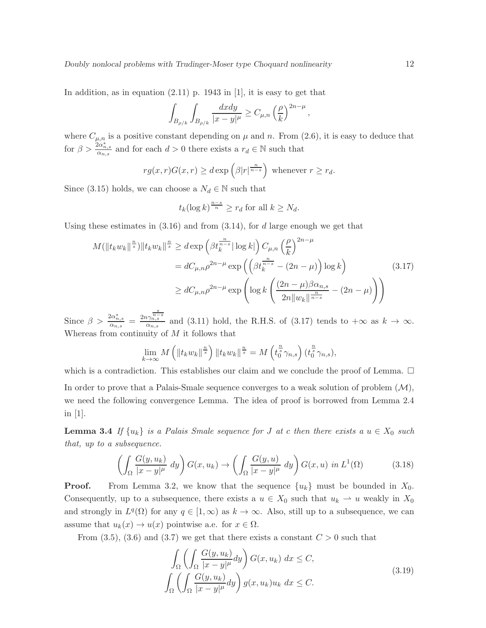In addition, as in equation  $(2.11)$  p. 1943 in [1], it is easy to get that

$$
\int_{B_{\rho/k}} \int_{B_{\rho/k}} \frac{dxdy}{|x-y|^{\mu}} \geq C_{\mu,n} \left(\frac{\rho}{k}\right)^{2n-\mu},
$$

where  $C_{\mu,n}$  is a positive constant depending on  $\mu$  and n. From (2.6), it is easy to deduce that for  $\beta > \frac{2\alpha_{n,s}^*}{\alpha_{n,s}}$  and for each  $d > 0$  there exists a  $r_d \in \mathbb{N}$  such that

$$
rg(x,r)G(x,r) \ge d \exp\left(\beta|r|^{\frac{n}{n-s}}\right) \text{ whenever } r \ge r_d.
$$

Since (3.15) holds, we can choose a  $N_d \in \mathbb{N}$  such that

$$
t_k(\log k)^{\frac{n-s}{n}} \ge r_d
$$
 for all  $k \ge N_d$ .

Using these estimates in  $(3.16)$  and from  $(3.14)$ , for d large enough we get that

$$
M(\|t_k w_k\|^{\frac{n}{s}}) \|t_k w_k\|^{\frac{n}{s}} \ge d \exp\left(\beta t_k^{\frac{n}{n-s}} |\log k|\right) C_{\mu,n} \left(\frac{\rho}{k}\right)^{2n-\mu}
$$
  

$$
= dC_{\mu,n} \rho^{2n-\mu} \exp\left(\left(\beta t_k^{\frac{n}{n-s}} - (2n-\mu)\right) \log k\right)
$$
  

$$
\ge dC_{\mu,n} \rho^{2n-\mu} \exp\left(\log k \left(\frac{(2n-\mu)\beta \alpha_{n,s}}{2n \|w_k\|^{\frac{n}{n-s}}} - (2n-\mu)\right)\right)
$$
 (3.17)

Since  $\beta > \frac{2\alpha_{n,s}^*}{\alpha_{n,s}} = \frac{2n\gamma_{n,s}^{\frac{s}{n-s}}}{\alpha_{n,s}}$  and (3.11) hold, the R.H.S. of (3.17) tends to  $+\infty$  as  $k \to \infty$ . Whereas from continuity of  $M$  it follows that

$$
\lim_{k \to \infty} M\left(\left\|t_k w_k\right\|^{\frac{n}{s}}\right) \left\|t_k w_k\right\|^{\frac{n}{s}} = M\left(t_0^{\frac{n}{s}} \gamma_{n,s}\right) \left(t_0^{\frac{n}{s}} \gamma_{n,s}\right),
$$

which is a contradiction. This establishes our claim and we conclude the proof of Lemma.  $\Box$ In order to prove that a Palais-Smale sequence converges to a weak solution of problem  $(\mathcal{M})$ , we need the following convergence Lemma. The idea of proof is borrowed from Lemma 2.4 in [1].

**Lemma 3.4** If  $\{u_k\}$  is a Palais Smale sequence for J at c then there exists a  $u \in X_0$  such that, up to a subsequence.

$$
\left(\int_{\Omega} \frac{G(y, u_k)}{|x - y|^{\mu}} dy\right) G(x, u_k) \to \left(\int_{\Omega} \frac{G(y, u)}{|x - y|^{\mu}} dy\right) G(x, u) \text{ in } L^1(\Omega) \tag{3.18}
$$

**Proof.** From Lemma 3.2, we know that the sequence  $\{u_k\}$  must be bounded in  $X_0$ . Consequently, up to a subsequence, there exists a  $u \in X_0$  such that  $u_k \rightharpoonup u$  weakly in  $X_0$ and strongly in  $L^q(\Omega)$  for any  $q \in [1,\infty)$  as  $k \to \infty$ . Also, still up to a subsequence, we can assume that  $u_k(x) \to u(x)$  pointwise a.e. for  $x \in \Omega$ .

From (3.5), (3.6) and (3.7) we get that there exists a constant  $C > 0$  such that

$$
\int_{\Omega} \left( \int_{\Omega} \frac{G(y, u_k)}{|x - y|^{\mu}} dy \right) G(x, u_k) dx \le C,
$$
\n
$$
\int_{\Omega} \left( \int_{\Omega} \frac{G(y, u_k)}{|x - y|^{\mu}} dy \right) g(x, u_k) u_k dx \le C.
$$
\n(3.19)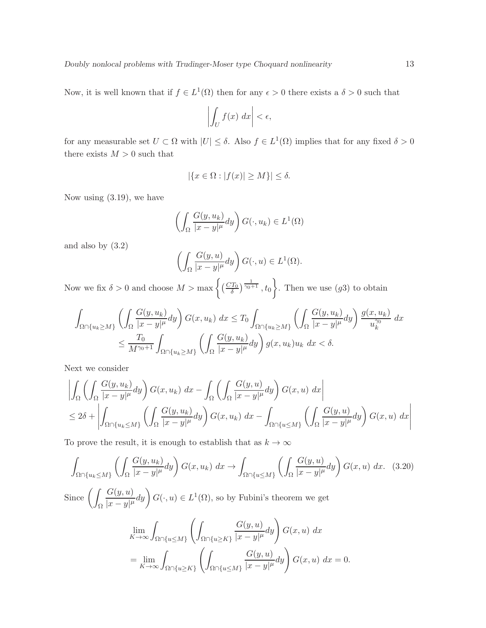Now, it is well known that if  $f \in L^1(\Omega)$  then for any  $\epsilon > 0$  there exists a  $\delta > 0$  such that

$$
\left| \int_U f(x) \, dx \right| < \epsilon,
$$

for any measurable set  $U \subset \Omega$  with  $|U| \leq \delta$ . Also  $f \in L^1(\Omega)$  implies that for any fixed  $\delta > 0$ there exists  $M > 0$  such that

$$
|\{x \in \Omega : |f(x)| \ge M\}| \le \delta.
$$

Now using (3.19), we have

$$
\left(\int_{\Omega} \frac{G(y, u_k)}{|x - y|^{\mu}} dy\right) G(\cdot, u_k) \in L^1(\Omega)
$$

and also by (3.2)

$$
\left(\int_{\Omega} \frac{G(y, u)}{|x - y|^{\mu}} dy\right) G(\cdot, u) \in L^{1}(\Omega).
$$

Now we fix  $\delta > 0$  and choose  $M > \max\left\{ \left(\frac{CT_0}{\delta}\right)^{\frac{1}{\gamma_0+1}}, t_0 \right\}$ . Then we use  $(g_0)$  to obtain

$$
\int_{\Omega \cap \{u_k \ge M\}} \left( \int_{\Omega} \frac{G(y, u_k)}{|x - y|^{\mu}} dy \right) G(x, u_k) dx \le T_0 \int_{\Omega \cap \{u_k \ge M\}} \left( \int_{\Omega} \frac{G(y, u_k)}{|x - y|^{\mu}} dy \right) \frac{g(x, u_k)}{u_k^{\gamma_0}} dx
$$
  

$$
\le \frac{T_0}{M^{\gamma_0 + 1}} \int_{\Omega \cap \{u_k \ge M\}} \left( \int_{\Omega} \frac{G(y, u_k)}{|x - y|^{\mu}} dy \right) g(x, u_k) u_k dx < \delta.
$$

Next we consider

$$
\left| \int_{\Omega} \left( \int_{\Omega} \frac{G(y, u_k)}{|x - y|^{\mu}} dy \right) G(x, u_k) dx - \int_{\Omega} \left( \int_{\Omega} \frac{G(y, u)}{|x - y|^{\mu}} dy \right) G(x, u) dx \right|
$$
  
\n
$$
\leq 2\delta + \left| \int_{\Omega \cap \{u_k \leq M\}} \left( \int_{\Omega} \frac{G(y, u_k)}{|x - y|^{\mu}} dy \right) G(x, u_k) dx - \int_{\Omega \cap \{u \leq M\}} \left( \int_{\Omega} \frac{G(y, u)}{|x - y|^{\mu}} dy \right) G(x, u) dx \right|
$$

To prove the result, it is enough to establish that as  $k \to \infty$ 

$$
\int_{\Omega \cap \{u_k \le M\}} \left( \int_{\Omega} \frac{G(y, u_k)}{|x - y|^{\mu}} dy \right) G(x, u_k) dx \to \int_{\Omega \cap \{u \le M\}} \left( \int_{\Omega} \frac{G(y, u)}{|x - y|^{\mu}} dy \right) G(x, u) dx. (3.20)
$$
  
\nSince 
$$
\left( \int_{\Omega} \frac{G(y, u)}{|x - y|^{\mu}} dy \right) G(\cdot, u) \in L^{1}(\Omega), \text{ so by Fubini's theorem we get}
$$

$$
\lim_{K \to \infty} \int_{\Omega \cap \{u \le M\}} \left( \int_{\Omega \cap \{u \ge K\}} \frac{G(y, u)}{|x - y|^{\mu}} dy \right) G(x, u) dx
$$

$$
= \lim_{K \to \infty} \int_{\Omega \cap \{u \ge K\}} \left( \int_{\Omega \cap \{u \le M\}} \frac{G(y, u)}{|x - y|^{\mu}} dy \right) G(x, u) dx = 0.
$$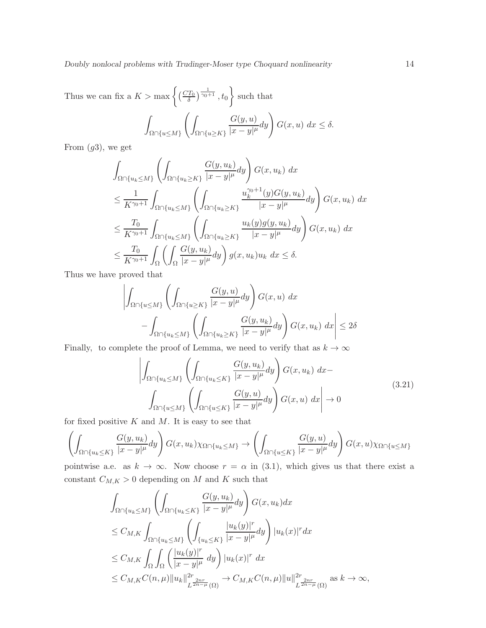Thus we can fix a  $K > \max\left\{ \left( \frac{CT_0}{\delta} \right)^{\frac{1}{\gamma_0 + 1}}, t_0 \right\}$  such that Z  $\Omega\cap \{u{\leq}M\}$  $\left( \right)$  $\Omega \cap \{u\!\geq\! K\}$  $G(y,u)$  $\frac{G(y,u)}{|x-y|^{\mu}}dy\bigg) G(x,u) dx \leq \delta.$ 

From  $(g3)$ , we get

$$
\int_{\Omega \cap \{u_k \le M\}} \left( \int_{\Omega \cap \{u_k \ge K\}} \frac{G(y, u_k)}{|x - y|^{\mu}} dy \right) G(x, u_k) dx
$$
\n
$$
\le \frac{1}{K^{\gamma_0 + 1}} \int_{\Omega \cap \{u_k \le M\}} \left( \int_{\Omega \cap \{u_k \ge K\}} \frac{u_k^{\gamma_0 + 1}(y) G(y, u_k)}{|x - y|^{\mu}} dy \right) G(x, u_k) dx
$$
\n
$$
\le \frac{T_0}{K^{\gamma_0 + 1}} \int_{\Omega \cap \{u_k \le M\}} \left( \int_{\Omega \cap \{u_k \ge K\}} \frac{u_k(y) g(y, u_k)}{|x - y|^{\mu}} dy \right) G(x, u_k) dx
$$
\n
$$
\le \frac{T_0}{K^{\gamma_0 + 1}} \int_{\Omega} \left( \int_{\Omega} \frac{G(y, u_k)}{|x - y|^{\mu}} dy \right) g(x, u_k) u_k dx \le \delta.
$$

Thus we have proved that

$$
\left| \int_{\Omega \cap \{u \le M\}} \left( \int_{\Omega \cap \{u \ge K\}} \frac{G(y, u)}{|x - y|^{\mu}} dy \right) G(x, u) dx - \int_{\Omega \cap \{u_k \le M\}} \left( \int_{\Omega \cap \{u_k \ge K\}} \frac{G(y, u_k)}{|x - y|^{\mu}} dy \right) G(x, u_k) dx \right| \le 2\delta
$$

Finally, to complete the proof of Lemma, we need to verify that as  $k \to \infty$ 

$$
\left| \int_{\Omega \cap \{u_k \le M\}} \left( \int_{\Omega \cap \{u_k \le K\}} \frac{G(y, u_k)}{|x - y|^{\mu}} dy \right) G(x, u_k) dx - \int_{\Omega \cap \{u \le M\}} \left( \int_{\Omega \cap \{u \le K\}} \frac{G(y, u)}{|x - y|^{\mu}} dy \right) G(x, u) dx \right| \to 0
$$
\n(3.21)

for fixed positive  $K$  and  $M$ . It is easy to see that

$$
\left(\int_{\Omega\cap\{u_k\leq K\}}\frac{G(y,u_k)}{|x-y|^{\mu}}dy\right)G(x,u_k)\chi_{\Omega\cap\{u_k\leq M\}}\to\left(\int_{\Omega\cap\{u\leq K\}}\frac{G(y,u)}{|x-y|^{\mu}}dy\right)G(x,u)\chi_{\Omega\cap\{u\leq M\}}
$$

pointwise a.e. as  $k \to \infty$ . Now choose  $r = \alpha$  in (3.1), which gives us that there exist a constant  $C_{M,K} > 0$  depending on M and K such that

$$
\int_{\Omega \cap \{u_k \le M\}} \left( \int_{\Omega \cap \{u_k \le K\}} \frac{G(y, u_k)}{|x - y|^{\mu}} dy \right) G(x, u_k) dx
$$
\n
$$
\le C_{M,K} \int_{\Omega \cap \{u_k \le M\}} \left( \int_{\{u_k \le K\}} \frac{|u_k(y)|^r}{|x - y|^{\mu}} dy \right) |u_k(x)|^r dx
$$
\n
$$
\le C_{M,K} \int_{\Omega} \int_{\Omega} \left( \frac{|u_k(y)|^r}{|x - y|^{\mu}} dy \right) |u_k(x)|^r dx
$$
\n
$$
\le C_{M,K} C(n, \mu) ||u_k||_{L^{\frac{2}{2n - \mu}}(\Omega)}^{2r} \to C_{M,K} C(n, \mu) ||u||_{L^{\frac{2}{2n - \mu}}(\Omega)}^{2r} \text{ as } k \to \infty,
$$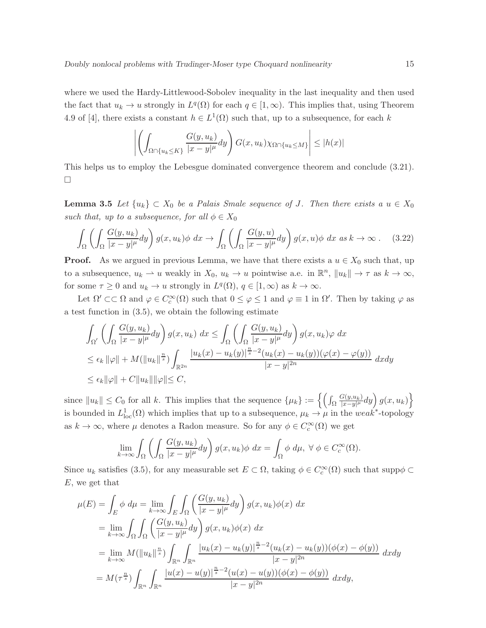where we used the Hardy-Littlewood-Sobolev inequality in the last inequality and then used the fact that  $u_k \to u$  strongly in  $L^q(\Omega)$  for each  $q \in [1,\infty)$ . This implies that, using Theorem 4.9 of [4], there exists a constant  $h \in L^1(\Omega)$  such that, up to a subsequence, for each k

$$
\left| \left( \int_{\Omega \cap \{u_k \le K\}} \frac{G(y, u_k)}{|x - y|^{\mu}} dy \right) G(x, u_k) \chi_{\Omega \cap \{u_k \le M\}} \right| \le |h(x)|
$$

This helps us to employ the Lebesgue dominated convergence theorem and conclude (3.21).  $\Box$ 

**Lemma 3.5** Let  $\{u_k\} \subset X_0$  be a Palais Smale sequence of J. Then there exists a  $u \in X_0$ such that, up to a subsequence, for all  $\phi \in X_0$ 

$$
\int_{\Omega} \left( \int_{\Omega} \frac{G(y, u_k)}{|x - y|^{\mu}} dy \right) g(x, u_k) \phi \, dx \to \int_{\Omega} \left( \int_{\Omega} \frac{G(y, u)}{|x - y|^{\mu}} dy \right) g(x, u) \phi \, dx \text{ as } k \to \infty \, . \tag{3.22}
$$

**Proof.** As we argued in previous Lemma, we have that there exists a  $u \in X_0$  such that, up to a subsequence,  $u_k \rightharpoonup u$  weakly in  $X_0$ ,  $u_k \to u$  pointwise a.e. in  $\mathbb{R}^n$ ,  $||u_k|| \to \tau$  as  $k \to \infty$ , for some  $\tau \geq 0$  and  $u_k \to u$  strongly in  $L^q(\Omega)$ ,  $q \in [1,\infty)$  as  $k \to \infty$ .

Let  $\Omega' \subset\subset \Omega$  and  $\varphi \in C_c^{\infty}(\Omega)$  such that  $0 \leq \varphi \leq 1$  and  $\varphi \equiv 1$  in  $\Omega'$ . Then by taking  $\varphi$  as a test function in (3.5), we obtain the following estimate

$$
\int_{\Omega'} \left( \int_{\Omega} \frac{G(y, u_k)}{|x - y|^{\mu}} dy \right) g(x, u_k) dx \le \int_{\Omega} \left( \int_{\Omega} \frac{G(y, u_k)}{|x - y|^{\mu}} dy \right) g(x, u_k) \varphi dx
$$
\n
$$
\le \epsilon_k \|\varphi\| + M(\|u_k\|_{s}^{\frac{n}{s}}) \int_{\mathbb{R}^{2n}} \frac{|u_k(x) - u_k(y)|_{s}^{\frac{n}{s} - 2} (u_k(x) - u_k(y)) (\varphi(x) - \varphi(y))}{|x - y|^{2n}} dx dy
$$
\n
$$
\le \epsilon_k \|\varphi\| + C \|u_k\| \|\varphi\| \le C,
$$

since <sup>k</sup>ukk ≤ <sup>C</sup><sup>0</sup> for all <sup>k</sup>. This implies that the sequence {µk} := nR Ω  $G(y,u_k)$  $\left\{\frac{G(y,u_k)}{|x-y|^{\mu}}dy\right\}g(x,u_k)\right\}$ is bounded in  $L^1_{loc}(\Omega)$  which implies that up to a subsequence,  $\mu_k \to \mu$  in the weak<sup>\*</sup>-topology as  $k \to \infty$ , where  $\mu$  denotes a Radon measure. So for any  $\phi \in C_c^{\infty}(\Omega)$  we get

$$
\lim_{k \to \infty} \int_{\Omega} \left( \int_{\Omega} \frac{G(y, u_k)}{|x - y|^{\mu}} dy \right) g(x, u_k) \phi \, dx = \int_{\Omega} \phi \, d\mu, \ \forall \ \phi \in C_c^{\infty}(\Omega).
$$

Since  $u_k$  satisfies (3.5), for any measurable set  $E \subset \Omega$ , taking  $\phi \in C_c^{\infty}(\Omega)$  such that supp $\phi \subset$ E, we get that

$$
\mu(E) = \int_{E} \phi \, d\mu = \lim_{k \to \infty} \int_{E} \int_{\Omega} \left( \frac{G(y, u_k)}{|x - y|^{\mu}} dy \right) g(x, u_k) \phi(x) \, dx
$$
  
\n
$$
= \lim_{k \to \infty} \int_{\Omega} \int_{\Omega} \left( \frac{G(y, u_k)}{|x - y|^{\mu}} dy \right) g(x, u_k) \phi(x) \, dx
$$
  
\n
$$
= \lim_{k \to \infty} M(||u_k||^{\frac{n}{s}}) \int_{\mathbb{R}^n} \int_{\mathbb{R}^n} \frac{|u_k(x) - u_k(y)|^{\frac{n}{s} - 2} (u_k(x) - u_k(y)) (\phi(x) - \phi(y))}{|x - y|^{2n}} dx dy
$$
  
\n
$$
= M(\tau^{\frac{n}{s}}) \int_{\mathbb{R}^n} \int_{\mathbb{R}^n} \frac{|u(x) - u(y)|^{\frac{n}{s} - 2} (u(x) - u(y)) (\phi(x) - \phi(y))}{|x - y|^{2n}} dx dy,
$$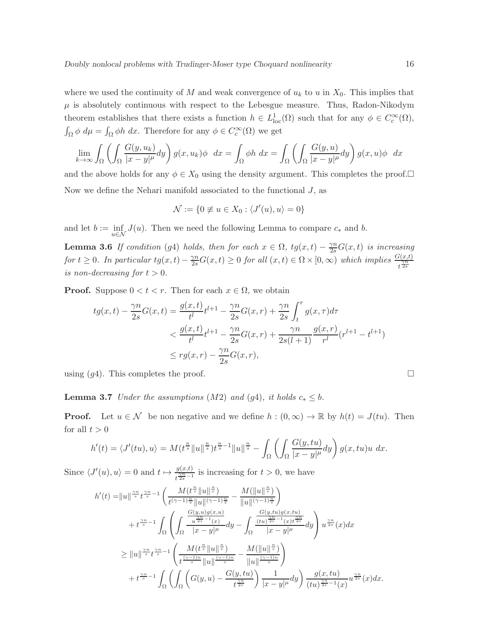where we used the continuity of M and weak convergence of  $u_k$  to u in  $X_0$ . This implies that  $\mu$  is absolutely continuous with respect to the Lebesgue measure. Thus, Radon-Nikodym theorem establishes that there exists a function  $h \in L^1_{loc}(\Omega)$  such that for any  $\phi \in C_c^{\infty}(\Omega)$ ,  $\int_{\Omega} \phi \ d\mu = \int_{\Omega} \phi h \ dx$ . Therefore for any  $\phi \in C_c^{\infty}(\Omega)$  we get

$$
\lim_{k \to \infty} \int_{\Omega} \left( \int_{\Omega} \frac{G(y, u_k)}{|x - y|^{\mu}} dy \right) g(x, u_k) \phi \ dx = \int_{\Omega} \phi h \ dx = \int_{\Omega} \left( \int_{\Omega} \frac{G(y, u)}{|x - y|^{\mu}} dy \right) g(x, u) \phi \ dx
$$

and the above holds for any  $\phi \in X_0$  using the density argument. This completes the proof. Now we define the Nehari manifold associated to the functional  $J$ , as

$$
\mathcal{N} := \{0 \neq u \in X_0 : \langle J'(u), u \rangle = 0\}
$$

and let  $b := \inf_{u \in \mathcal{N}} J(u)$ . Then we need the following Lemma to compare  $c_*$  and b.

**Lemma 3.6** If condition (g4) holds, then for each  $x \in \Omega$ ,  $tg(x,t) - \frac{\gamma n}{2s}G(x,t)$  is increasing for  $t \geq 0$ . In particular  $tg(x,t) - \frac{\gamma n}{2s}G(x,t) \geq 0$  for all  $(x,t) \in \Omega \times [0,\infty)$  which implies  $\frac{G(x,t)}{t^{\frac{\gamma n}{2s}}}$ is non-decreasing for  $t > 0$ .

**Proof.** Suppose  $0 < t < r$ . Then for each  $x \in \Omega$ , we obtain

$$
tg(x,t) - \frac{\gamma n}{2s}G(x,t) = \frac{g(x,t)}{t^l}t^{l+1} - \frac{\gamma n}{2s}G(x,r) + \frac{\gamma n}{2s} \int_t^r g(x,\tau)d\tau
$$
  

$$
< \frac{g(x,t)}{t^l}t^{l+1} - \frac{\gamma n}{2s}G(x,r) + \frac{\gamma n}{2s(l+1)}\frac{g(x,r)}{r^l}(r^{l+1} - t^{l+1})
$$
  

$$
\leq rg(x,r) - \frac{\gamma n}{2s}G(x,r),
$$

using  $(q4)$ . This completes the proof.

**Lemma 3.7** Under the assumptions (M2) and (g4), it holds  $c_* \leq b$ .

**Proof.** Let  $u \in \mathcal{N}$  be non negative and we define  $h : (0, \infty) \to \mathbb{R}$  by  $h(t) = J(tu)$ . Then for all  $t > 0$ 

$$
h'(t) = \langle J'(tu), u \rangle = M(t^{\frac{n}{s}} \|u\|^{\frac{n}{s}}) t^{\frac{n}{s}-1} \|u\|^{\frac{n}{s}} - \int_{\Omega} \left( \int_{\Omega} \frac{G(y, tu)}{|x-y|^{\mu}} dy \right) g(x, tu)u \ dx.
$$

Since  $\langle J'(u), u \rangle = 0$  and  $t \mapsto \frac{g(x,t)}{t^{\frac{\gamma_n}{2s}-1}}$  is increasing for  $t > 0$ , we have

$$
h'(t) = ||u||^{\frac{\gamma n}{s}} t^{\frac{\gamma n}{s} - 1} \left( \frac{M(t^{\frac{n}{s}} ||u||^{\frac{n}{s}})}{t^{(\gamma - 1)\frac{n}{s}} ||u||^{(\gamma - 1)\frac{n}{s}}} - \frac{M(||u||^{\frac{n}{s}})}{||u||^{(\gamma - 1)\frac{n}{s}}}\right) + t^{\frac{\gamma n}{s} - 1} \int_{\Omega} \left( \int_{\Omega} \frac{\frac{G(y, u)g(x, u)}{u^{\frac{\gamma n}{2s} - 1}(x)}}{|x - y|^{\mu}} dy - \int_{\Omega} \frac{\frac{G(y, tu)g(x, tu)}{(tu)^{\frac{\gamma n}{2s} - 1}(x)t^{\frac{\gamma n}{2s}}}}{|x - y|^{\mu}} dy \right) u^{\frac{\gamma n}{2s}}(x) dx \geq ||u||^{\frac{\gamma n}{s}} t^{\frac{\gamma n}{s} - 1} \left( \frac{M(t^{\frac{n}{s}} ||u||^{\frac{n}{s}})}{t^{\frac{(\gamma - 1)n}{s}} ||u||^{\frac{(\gamma - 1)n}{s}}} - \frac{M(||u||^{\frac{n}{s}})}{||u||^{\frac{(\gamma - 1)n}{s}}}\right) + t^{\frac{\gamma n}{s} - 1} \int_{\Omega} \left( \int_{\Omega} \left( G(y, u) - \frac{G(y, tu)}{t^{\frac{\gamma n}{2s}}}\right) \frac{1}{|x - y|^{\mu}} dy \right) \frac{g(x, tu)}{(tu)^{\frac{\gamma n}{2s} - 1}(x)} u^{\frac{\gamma n}{2s}}(x) dx.
$$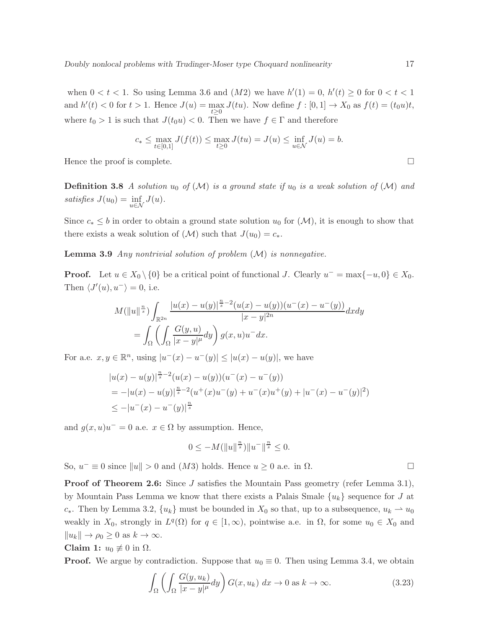when  $0 < t < 1$ . So using Lemma 3.6 and  $(M2)$  we have  $h'(1) = 0$ ,  $h'(t) \ge 0$  for  $0 < t < 1$ and  $h'(t) < 0$  for  $t > 1$ . Hence  $J(u) = \max_{t \geq 0} J(tu)$ . Now define  $f : [0, 1] \to X_0$  as  $f(t) = (t_0u)t$ , where  $t_0 > 1$  is such that  $J(t_0u) < 0$ . Then we have  $f \in \Gamma$  and therefore

$$
c_* \le \max_{t \in [0,1]} J(f(t)) \le \max_{t \ge 0} J(tu) = J(u) \le \inf_{u \in \mathcal{N}} J(u) = b.
$$

Hence the proof is complete.  $\Box$ 

**Definition 3.8** A solution  $u_0$  of  $(\mathcal{M})$  is a ground state if  $u_0$  is a weak solution of  $(\mathcal{M})$  and satisfies  $J(u_0) = \inf_{u \in \mathcal{N}} J(u)$ .

Since  $c_* \leq b$  in order to obtain a ground state solution  $u_0$  for  $(\mathcal{M})$ , it is enough to show that there exists a weak solution of  $(\mathcal{M})$  such that  $J(u_0) = c_*$ .

**Lemma 3.9** Any nontrivial solution of problem  $(M)$  is nonnegative.

**Proof.** Let  $u \in X_0 \setminus \{0\}$  be a critical point of functional J. Clearly  $u^- = \max\{-u, 0\} \in X_0$ . Then  $\langle J'(u), u^{-} \rangle = 0$ , i.e.

$$
M(||u||^{\frac{n}{s}}) \int_{\mathbb{R}^{2n}} \frac{|u(x) - u(y)|^{\frac{n}{s} - 2} (u(x) - u(y))(u^-(x) - u^-(y))}{|x - y|^{2n}} dx dy
$$
  
= 
$$
\int_{\Omega} \left( \int_{\Omega} \frac{G(y, u)}{|x - y|^{\mu}} dy \right) g(x, u) u^-(x) dx.
$$

For a.e.  $x, y \in \mathbb{R}^n$ , using  $|u^-(x) - u^-(y)| \leq |u(x) - u(y)|$ , we have

$$
|u(x) - u(y)|^{\frac{n}{s} - 2} (u(x) - u(y))(u^-(x) - u^-(y))
$$
  
=  $-|u(x) - u(y)|^{\frac{n}{s} - 2} (u^+(x)u^-(y) + u^-(x)u^+(y) + |u^-(x) - u^-(y)|^2)$   
 $\leq -|u^-(x) - u^-(y)|^{\frac{n}{s}}$ 

and  $g(x, u)u^{-} = 0$  a.e.  $x \in \Omega$  by assumption. Hence,

$$
0 \le -M(\|u\|^{\frac{n}{s}})\|u^{-}\|^{\frac{n}{s}} \le 0.
$$

So,  $u^- \equiv 0$  since  $||u|| > 0$  and  $(M3)$  holds. Hence  $u \ge 0$  a.e. in  $\Omega$ .

Proof of Theorem 2.6: Since J satisfies the Mountain Pass geometry (refer Lemma 3.1), by Mountain Pass Lemma we know that there exists a Palais Smale  $\{u_k\}$  sequence for J at c<sup>∗</sup>. Then by Lemma 3.2,  $\{u_k\}$  must be bounded in  $X_0$  so that, up to a subsequence,  $u_k \rightharpoonup u_0$ weakly in  $X_0$ , strongly in  $L^q(\Omega)$  for  $q \in [1,\infty)$ , pointwise a.e. in  $\Omega$ , for some  $u_0 \in X_0$  and  $||u_k|| \to \rho_0 \geq 0$  as  $k \to \infty$ .

## Claim 1:  $u_0 \not\equiv 0$  in  $\Omega$ .

**Proof.** We argue by contradiction. Suppose that  $u_0 \equiv 0$ . Then using Lemma 3.4, we obtain

$$
\int_{\Omega} \left( \int_{\Omega} \frac{G(y, u_k)}{|x - y|^{\mu}} dy \right) G(x, u_k) dx \to 0 \text{ as } k \to \infty.
$$
 (3.23)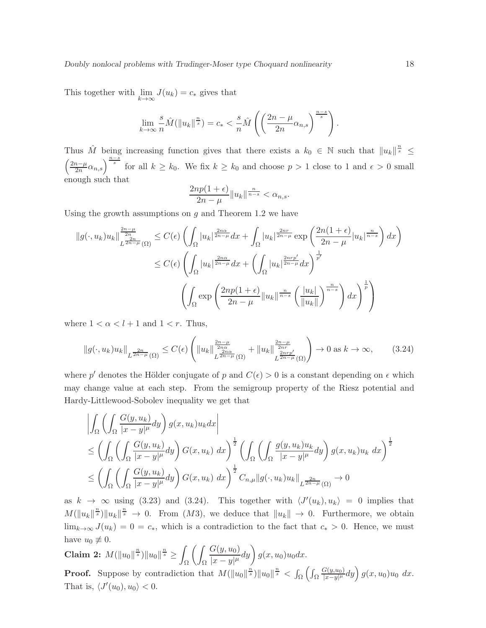This together with  $\lim_{k \to \infty} J(u_k) = c_*$  gives that

$$
\lim_{k \to \infty} \frac{s}{n} \hat{M}(\|u_k\|^{\frac{n}{s}}) = c_* < \frac{s}{n} \hat{M}\left(\left(\frac{2n-\mu}{2n}\alpha_{n,s}\right)^{\frac{n-s}{s}}\right).
$$

Thus  $\hat{M}$  being increasing function gives that there exists a  $k_0 \in \mathbb{N}$  such that  $||u_k||^{\frac{n}{s}} \leq$  $\int 2n-\mu$  $\left(\frac{n-\mu}{2n}\alpha_{n,s}\right)^{\frac{n-s}{s}}$  for all  $k \geq k_0$ . We fix  $k \geq k_0$  and choose  $p > 1$  close to 1 and  $\epsilon > 0$  small enough such that

$$
\frac{2np(1+\epsilon)}{2n-\mu}||u_k||^{\frac{n}{n-s}} < \alpha_{n,s}.
$$

Using the growth assumptions on  $g$  and Theorem 1.2 we have

$$
||g(\cdot, u_k)u_k||_{L^{\frac{2n-\mu}{2n-\mu}}(\Omega)}^{\frac{2n-\mu}{2n}} \leq C(\epsilon) \left( \int_{\Omega} |u_k|^{\frac{2n\alpha}{2n-\mu}} dx + \int_{\Omega} |u_k|^{\frac{2n\alpha}{2n-\mu}} \exp\left(\frac{2n(1+\epsilon)}{2n-\mu}|u_k|^{\frac{n}{n-s}}\right) dx \right)
$$
  

$$
\leq C(\epsilon) \left( \int_{\Omega} |u_k|^{\frac{2n\alpha}{2n-\mu}} dx + \left( \int_{\Omega} |u_k|^{\frac{2n\alpha}{2n-\mu}} dx \right)^{\frac{1}{p'}} \right)
$$
  

$$
\left( \int_{\Omega} \exp\left(\frac{2np(1+\epsilon)}{2n-\mu} ||u_k||^{\frac{n}{n-s}} \left(\frac{|u_k|}{||u_k||}\right)^{\frac{n}{n-s}}\right) dx \right)^{\frac{1}{p}} \right)
$$

where  $1 < \alpha < l + 1$  and  $1 < r$ . Thus,

$$
||g(\cdot, u_k)u_k||_{L^{\frac{2n}{2n-\mu}}(\Omega)} \leq C(\epsilon) \left( ||u_k||_{L^{\frac{2n-\mu}{2n\alpha}}(\Omega)}^{\frac{2n-\mu}{2n\alpha}} + ||u_k||_{L^{\frac{2nr\nu}{2n-\mu}}(\Omega)}^{\frac{2n-\mu}{2n\alpha}} \right) \to 0 \text{ as } k \to \infty,
$$
 (3.24)

where p' denotes the Hölder conjugate of p and  $C(\epsilon) > 0$  is a constant depending on  $\epsilon$  which may change value at each step. From the semigroup property of the Riesz potential and Hardy-Littlewood-Sobolev inequality we get that

$$
\left| \int_{\Omega} \left( \int_{\Omega} \frac{G(y, u_k)}{|x - y|^{\mu}} dy \right) g(x, u_k) u_k dx \right|
$$
  
\n
$$
\leq \left( \int_{\Omega} \left( \int_{\Omega} \frac{G(y, u_k)}{|x - y|^{\mu}} dy \right) G(x, u_k) dx \right)^{\frac{1}{2}} \left( \int_{\Omega} \left( \int_{\Omega} \frac{g(y, u_k) u_k}{|x - y|^{\mu}} dy \right) g(x, u_k) u_k dx \right)^{\frac{1}{2}}
$$
  
\n
$$
\leq \left( \int_{\Omega} \left( \int_{\Omega} \frac{G(y, u_k)}{|x - y|^{\mu}} dy \right) G(x, u_k) dx \right)^{\frac{1}{2}} C_{n, \mu} ||g(\cdot, u_k) u_k||_{L^{\frac{2n}{2n - \mu}}(\Omega)} \to 0
$$

as  $k \to \infty$  using (3.23) and (3.24). This together with  $\langle J'(u_k), u_k \rangle = 0$  implies that  $M(\|u_k\|^{\frac{n}{s}})\|u_k\|^{\frac{n}{s}} \to 0$ . From  $(M3)$ , we deduce that  $\|u_k\| \to 0$ . Furthermore, we obtain  $\lim_{k\to\infty} J(u_k) = 0 = c_*$ , which is a contradiction to the fact that  $c_* > 0$ . Hence, we must have  $u_0 \not\equiv 0$ .

Claim 2:  $M(\|u_0\|^{\frac{n}{s}})\|u_0\|^{\frac{n}{s}} \geq 1$ Ω  $\left( \right)$ Ω  $G(y,u_0)$  $\overline{G(y,u_0)\over |x-y|^{\mu}}dy\bigg)\,g(x,u_0)u_0dx.$ **Proof.** Suppose by contradiction that  $M(||u_0||^{\frac{n}{s}})||u_0||^{\frac{n}{s}} < \int_{\Omega} \left( \int_{\Omega}$  $\frac{G(y,u_0)}{|x-y|^{\mu}}dy\Big) g(x,u_0)u_0 dx.$ That is,  $\langle J'(u_0), u_0 \rangle < 0$ .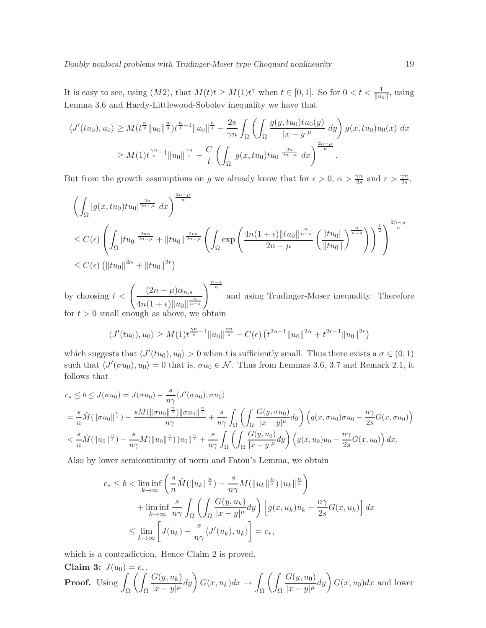It is easy to see, using  $(M2)$ , that  $M(t)t \geq M(1)t^{\gamma}$  when  $t \in [0,1]$ . So for  $0 < t < \frac{1}{\|u_0\|}$ , using Lemma 3.6 and Hardy-Littlewood-Sobolev inequality we have that

$$
\langle J'(tu_0), u_0 \rangle \ge M(t^{\frac{n}{s}} \|u_0\|^{\frac{n}{s}}) t^{\frac{n}{s}-1} \|u_0\|^{\frac{n}{s}} - \frac{2s}{\gamma n} \int_{\Omega} \left( \int_{\Omega} \frac{g(y, tu_0)tu_0(y)}{|x-y|^{\mu}} dy \right) g(x, tu_0)u_0(x) dx
$$
  

$$
\ge M(1) t^{\frac{\gamma n}{s}-1} \|u_0\|^{\frac{\gamma n}{s}} - \frac{C}{t} \left( \int_{\Omega} |g(x, tu_0)tu_0|^{\frac{2n}{2n-\mu}} dx \right)^{\frac{2n-\mu}{n}}.
$$

But from the growth assumptions on g we already know that for  $\epsilon > 0$ ,  $\alpha > \frac{\gamma n}{2s}$  and  $r > \frac{\gamma n}{2s}$ ,

$$
\left(\int_{\Omega} |g(x, tu_0) du_0|^{\frac{2n}{2n-\mu}} dx\right)^{\frac{2n-\mu}{n}}\n\leq C(\epsilon) \left(\int_{\Omega} |tu_0|^{\frac{2n\alpha}{2n-\mu}} + ||tu_0||^{\frac{2n\alpha}{2n-\mu}} \left(\int_{\Omega} \exp\left(\frac{4n(1+\epsilon) ||tu_0||^{\frac{n}{n-\delta}}}{2n-\mu} \left(\frac{|tu_0|}{||tu_0||}\right)^{\frac{n}{n-\delta}}\right)\right)^{\frac{1}{2}}\right)^{\frac{2n-\mu}{n}}\n\leq C(\epsilon) \left(||tu_0||^{2\alpha} + ||tu_0||^{2r}\right)
$$

by choosing  $t < \left( \frac{(2n-\mu)\alpha_{n,s}}{n} \right)$  $4n(1+\epsilon) \|u_0\|^{\frac{n}{n-s}}$  $\sqrt{\frac{n-s}{n}}$ and using Trudinger-Moser inequality. Therefore for  $t > 0$  small enough as above, we obtain

$$
\langle J'(tu_0), u_0 \rangle \ge M(1) t^{\frac{\gamma n}{s} - 1} \|u_0\|^{\frac{\gamma n}{s}} - C(\epsilon) \left( t^{2\alpha - 1} \|u_0\|^{2\alpha} + t^{2r - 1} \|u_0\|^{2r} \right)
$$

which suggests that  $\langle J'(tu_0), u_0 \rangle > 0$  when t is sufficiently small. Thus there exists a  $\sigma \in (0, 1)$ such that  $\langle J'(\sigma u_0), u_0 \rangle = 0$  that is,  $\sigma u_0 \in \mathcal{N}$ . Thus from Lemmas 3.6, 3.7 and Remark 2.1, it follows that

$$
c_* \leq b \leq J(\sigma u_0) = J(\sigma u_0) - \frac{s}{n\gamma} \langle J'(\sigma u_0), \sigma u_0 \rangle
$$
  
=  $\frac{s}{n} \hat{M}(\|\sigma u_0\|^{\frac{n}{s}}) - \frac{sM(\|\sigma u_0\|^{\frac{n}{s}})\|\sigma u_0\|^{\frac{n}{s}}}{n\gamma} + \frac{s}{n\gamma} \int_{\Omega} \left( \int_{\Omega} \frac{G(y, \sigma u_0)}{|x - y|^{\mu}} dy \right) (g(x, \sigma u_0)\sigma u_0 - \frac{n\gamma}{2s}G(x, \sigma u_0))$   
 $< \frac{s}{n} \hat{M}(\|u_0\|^{\frac{n}{s}}) - \frac{s}{n\gamma} M(\|u_0\|^{\frac{n}{s}})\|u_0\|^{\frac{n}{s}} + \frac{s}{n\gamma} \int_{\Omega} \left( \int_{\Omega} \frac{G(y, u_0)}{|x - y|^{\mu}} dy \right) (g(x, u_0)u_0 - \frac{n\gamma}{2s}G(x, u_0)) dx.$ 

Also by lower semicontinuity of norm and Fatou's Lemma, we obtain

$$
c_* \le b < \liminf_{k \to \infty} \left( \frac{s}{n} \hat{M}(\|u_k\|^{\frac{n}{s}}) - \frac{s}{n\gamma} M(\|u_k\|^{\frac{n}{s}}) \|u_k\|^{\frac{n}{s}} \right)
$$
  
+ 
$$
\liminf_{k \to \infty} \frac{s}{n\gamma} \int_{\Omega} \left( \int_{\Omega} \frac{G(y, u_k)}{|x - y|^{\mu}} dy \right) \left[ g(x, u_k) u_k - \frac{n\gamma}{2s} G(x, u_k) \right] dx
$$
  

$$
\le \lim_{k \to \infty} \left[ J(u_k) - \frac{s}{n\gamma} \langle J'(u_k), u_k \rangle \right] = c_*,
$$

which is a contradiction. Hence Claim 2 is proved.

**Claim 3:** 
$$
J(u_0) = c_*
$$
.  
**Proof.** Using  $\int_{\Omega} \left( \int_{\Omega} \frac{G(y, u_k)}{|x - y|^{\mu}} dy \right) G(x, u_k) dx \to \int_{\Omega} \left( \int_{\Omega} \frac{G(y, u_0)}{|x - y|^{\mu}} dy \right) G(x, u_0) dx$  and lower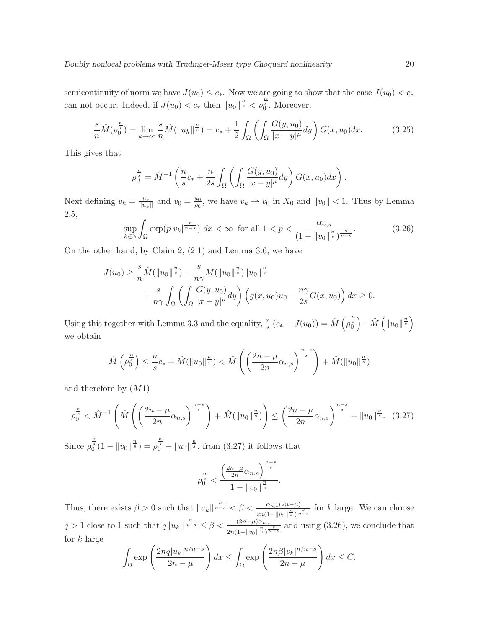semicontinuity of norm we have  $J(u_0) \leq c_*$ . Now we are going to show that the case  $J(u_0) < c_*$ can not occur. Indeed, if  $J(u_0) < c_*$  then  $||u_0||^{\frac{n}{s}} < \rho_0^{\frac{n}{s}}$ . Moreover,

$$
\frac{s}{n}\hat{M}(\rho_0^{\frac{n}{s}}) = \lim_{k \to \infty} \frac{s}{n}\hat{M}(\|u_k\|^{\frac{n}{s}}) = c_* + \frac{1}{2} \int_{\Omega} \left( \int_{\Omega} \frac{G(y, u_0)}{|x - y|^{\mu}} dy \right) G(x, u_0) dx, \tag{3.25}
$$

This gives that

$$
\rho_0^{\frac{n}{s}} = \hat{M}^{-1}\left(\frac{n}{s}c_* + \frac{n}{2s}\int_{\Omega}\left(\int_{\Omega}\frac{G(y,u_0)}{|x-y|^{\mu}}dy\right)G(x,u_0)dx\right).
$$

Next defining  $v_k = \frac{u_k}{\|u_k\|}$  $\frac{u_k}{\|u_k\|}$  and  $v_0 = \frac{u_0}{\rho_0}$  $\frac{u_0}{\rho_0}$ , we have  $v_k \rightharpoonup v_0$  in  $X_0$  and  $||v_0|| < 1$ . Thus by Lemma 2.5,

$$
\sup_{k \in \mathbb{N}} \int_{\Omega} \exp(p|v_k|^{\frac{n}{n-s}}) \, dx < \infty \quad \text{for all } 1 < p < \frac{\alpha_{n,s}}{\left(1 - \|v_0\|^{\frac{n}{s}}\right)^{\frac{s}{n-s}}}.\tag{3.26}
$$

On the other hand, by Claim 2, (2.1) and Lemma 3.6, we have

$$
J(u_0) \geq \frac{s}{n} \hat{M}(\|u_0\|^{\frac{n}{s}}) - \frac{s}{n\gamma} M(\|u_0\|^{\frac{n}{s}}) \|u_0\|^{\frac{n}{s}} + \frac{s}{n\gamma} \int_{\Omega} \left( \int_{\Omega} \frac{G(y, u_0)}{|x - y|^{\mu}} dy \right) \left( g(x, u_0) u_0 - \frac{n\gamma}{2s} G(x, u_0) \right) dx \geq 0.
$$

Using this together with Lemma 3.3 and the equality,  $\frac{n}{s}(c_* - J(u_0)) = \hat{M} \left( \rho_0^{\frac{n}{s}} \right) - \hat{M} \left( ||u_0||^{\frac{n}{s}} \right)$ we obtain

$$
\hat{M}\left(\rho_0^{\frac{n}{s}}\right) \leq \frac{n}{s}c_* + \hat{M}(\|u_0\|^{\frac{n}{s}}) < \hat{M}\left(\left(\frac{2n-\mu}{2n}\alpha_{n,s}\right)^{\frac{n-s}{s}}\right) + \hat{M}(\|u_0\|^{\frac{n}{s}})
$$

and therefore by  $(M1)$ 

$$
\rho_0^{\frac{n}{s}} < \hat{M}^{-1} \left( \hat{M} \left( \left( \frac{2n - \mu}{2n} \alpha_{n,s} \right)^{\frac{n-s}{s}} \right) + \hat{M} (\|u_0\|^{\frac{n}{s}}) \right) \le \left( \frac{2n - \mu}{2n} \alpha_{n,s} \right)^{\frac{n-s}{s}} + \|u_0\|^{\frac{n}{s}}. (3.27)
$$

Since  $\rho_0^{\frac{n}{s}}(1 - \|v_0\|^{\frac{n}{s}}) = \rho_0^{\frac{n}{s}} - \|u_0\|^{\frac{n}{s}}$ , from (3.27) it follows that

$$
\rho_0^{\frac{n}{s}}<\frac{\left(\frac{2n-\mu}{2n}\alpha_{n,s}\right)^{\frac{n-s}{s}}}{1-\left\Vert v_0\right\Vert^{\frac{n}{s}}}.
$$

Thus, there exists  $\beta > 0$  such that  $||u_k||^{\frac{n}{n-s}} < \beta < \frac{\alpha_{n,s}(2n-\mu)}{2n(1-||v_0||^{\frac{n}{s}})^{\frac{s}{n-s}}}$  for k large. We can choose  $q > 1$  close to 1 such that  $q||u_k||^{\frac{n}{n-s}} \leq \beta < \frac{(2n-\mu)\alpha_{n,s}}{2n(1-||v_0||^{\frac{n}{s}})^{\frac{s}{n-s}}}$  and using  $(3.26)$ , we conclude that for  $k$  large

$$
\int_{\Omega} \exp\left(\frac{2nq|u_k|^{n/n-s}}{2n-\mu}\right)dx \le \int_{\Omega} \exp\left(\frac{2n\beta|v_k|^{n/n-s}}{2n-\mu}\right)dx \le C.
$$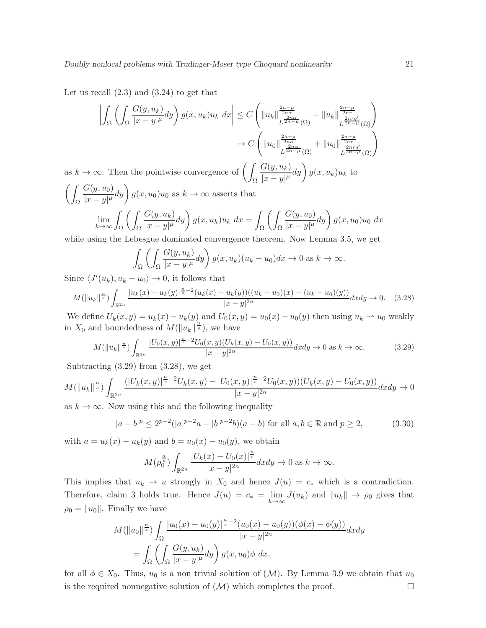Let us recall  $(2.3)$  and  $(3.24)$  to get that

$$
\left| \int_{\Omega} \left( \int_{\Omega} \frac{G(y, u_k)}{|x - y|^{\mu}} dy \right) g(x, u_k) u_k dx \right| \leq C \left( \|u_k\|_{L^{\frac{2n - \mu}{2n\alpha}}(\Omega)}^{\frac{2n - \mu}{2n\alpha}} + \|u_k\|_{L^{\frac{2n\eta q'}{2n - \mu}}(\Omega)}^{\frac{2n - \mu}{2n\alpha}} \right)
$$

$$
\to C \left( \|u_0\|_{L^{\frac{2n - \mu}{2n\alpha}}(\Omega)}^{\frac{2n - \mu}{2n\alpha}} + \|u_0\|_{L^{\frac{2n\eta q'}{2n - \mu}}(\Omega)}^{\frac{2n - \mu}{2n\alpha}} \right)
$$

as  $k \to \infty$ . Then the pointwise convergence of  $\left(\right)$ Ω  $G(y, u_k)$  $\frac{G(y, u_k)}{|x - y|^{\mu}} dy \bigg) g(x, u_k) u_k$  to  $\left( \right)$  $G(y, u_0)$  $\frac{G(y, u_0)}{|x - y|^{\mu}} dy$   $g(x, u_0)u_0$  as  $k \to \infty$  asserts that

$$
|x - y|^{\mu} \int_{\Omega} \left( \int_{\Omega} \frac{G(y, u_k)}{|x - y|^{\mu}} dy \right) g(x, u_k) u_k dx = \int_{\Omega} \left( \int_{\Omega} \frac{G(y, u_0)}{|x - y|^{\mu}} dy \right) g(x, u_0) u_0 dx
$$

while using the Lebesgue dominated convergence theorem. Now Lemma 3.5, we get

$$
\int_{\Omega} \left( \int_{\Omega} \frac{G(y, u_k)}{|x - y|^{\mu}} dy \right) g(x, u_k)(u_k - u_0) dx \to 0 \text{ as } k \to \infty.
$$

Since  $\langle J'(u_k), u_k - u_0 \rangle \to 0$ , it follows that

Ω

$$
M(\|u_k\|^{\frac{n}{s}})\int_{\mathbb{R}^{2n}}\frac{|u_k(x)-u_k(y)|^{\frac{n}{s}-2}(u_k(x)-u_k(y))((u_k-u_0)(x)-(u_k-u_0)(y))}{|x-y|^{2n}}dxdy\to 0. \quad (3.28)
$$

We define  $U_k(x, y) = u_k(x) - u_k(y)$  and  $U_0(x, y) = u_0(x) - u_0(y)$  then using  $u_k \to u_0$  weakly in  $X_0$  and boundedness of  $M(\|u_k\|^{\frac{n}{s}})$ , we have

$$
M(\|u_k\|^{\frac{n}{s}})\int_{\mathbb{R}^{2n}}\frac{|U_0(x,y)|^{\frac{n}{s}-2}U_0(x,y)(U_k(x,y)-U_0(x,y))}{|x-y|^{2n}}dxdy \to 0 \text{ as } k \to \infty.
$$
 (3.29)

Subtracting  $(3.29)$  from  $(3.28)$ , we get

$$
M(\|u_k\|^{\frac{n}{s}})\int_{\mathbb{R}^{2n}}\frac{(|U_k(x,y)|^{\frac{n}{s}-2}U_k(x,y)-|U_0(x,y)|^{\frac{n}{s}-2}U_0(x,y))(U_k(x,y)-U_0(x,y))}{|x-y|^{2n}}dxdy\to 0
$$

as  $k \to \infty$ . Now using this and the following inequality

$$
|a-b|^p \le 2^{p-2} (|a|^{p-2}a - |b|^{p-2}b)(a - b) \text{ for all } a, b \in \mathbb{R} \text{ and } p \ge 2,
$$
 (3.30)

with  $a = u_k(x) - u_k(y)$  and  $b = u_0(x) - u_0(y)$ , we obtain

$$
M(\rho_0^{\frac{n}{s}})\int_{\mathbb{R}^{2n}}\frac{|U_k(x)-U_0(x)|^{\frac{n}{s}}}{|x-y|^{2n}}dxdy\to 0 \text{ as } k\to\infty.
$$

This implies that  $u_k \to u$  strongly in  $X_0$  and hence  $J(u) = c_*$  which is a contradiction. Therefore, claim 3 holds true. Hence  $J(u) = c_* = \lim_{k \to \infty} J(u_k)$  and  $||u_k|| \to \rho_0$  gives that  $\rho_0 = ||u_0||$ . Finally we have

$$
M(\|u_0\|^{\frac{n}{s}}) \int_{\Omega} \frac{|u_0(x) - u_0(y)|^{\frac{n}{s}-2} (u_0(x) - u_0(y))(\phi(x) - \phi(y))}{|x - y|^{2n}} dx dy
$$
  
= 
$$
\int_{\Omega} \left( \int_{\Omega} \frac{G(y, u_k)}{|x - y|^{\mu}} dy \right) g(x, u_0) \phi dx,
$$

for all  $\phi \in X_0$ . Thus,  $u_0$  is a non trivial solution of  $(\mathcal{M})$ . By Lemma 3.9 we obtain that  $u_0$ is the required nonnegative solution of  $(M)$  which completes the proof.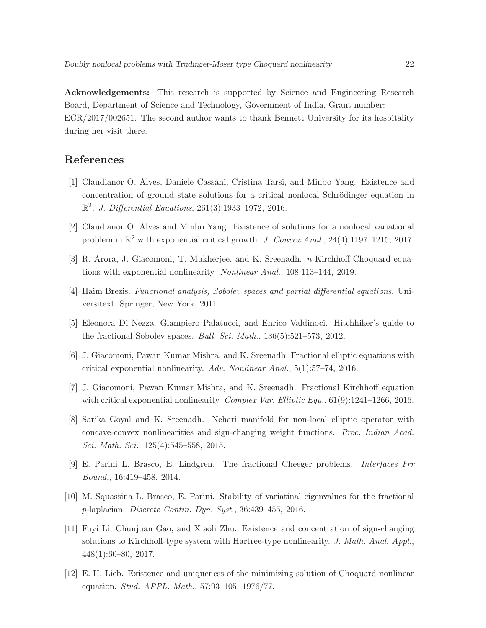Acknowledgements: This research is supported by Science and Engineering Research Board, Department of Science and Technology, Government of India, Grant number: ECR/2017/002651. The second author wants to thank Bennett University for its hospitality during her visit there.

# References

- [1] Claudianor O. Alves, Daniele Cassani, Cristina Tarsi, and Minbo Yang. Existence and concentration of ground state solutions for a critical nonlocal Schrödinger equation in  $\mathbb{R}^2$ . J. Differential Equations, 261(3):1933-1972, 2016.
- [2] Claudianor O. Alves and Minbo Yang. Existence of solutions for a nonlocal variational problem in  $\mathbb{R}^2$  with exponential critical growth. J. Convex Anal., 24(4):1197-1215, 2017.
- [3] R. Arora, J. Giacomoni, T. Mukherjee, and K. Sreenadh. n-Kirchhoff-Choquard equations with exponential nonlinearity. Nonlinear Anal., 108:113–144, 2019.
- [4] Haim Brezis. Functional analysis, Sobolev spaces and partial differential equations. Universitext. Springer, New York, 2011.
- [5] Eleonora Di Nezza, Giampiero Palatucci, and Enrico Valdinoci. Hitchhiker's guide to the fractional Sobolev spaces. *Bull. Sci. Math.*,  $136(5):521-573$ ,  $2012$ .
- [6] J. Giacomoni, Pawan Kumar Mishra, and K. Sreenadh. Fractional elliptic equations with critical exponential nonlinearity. Adv. Nonlinear Anal., 5(1):57–74, 2016.
- [7] J. Giacomoni, Pawan Kumar Mishra, and K. Sreenadh. Fractional Kirchhoff equation with critical exponential nonlinearity. Complex Var. Elliptic Equ.,  $61(9):1241-1266$ , 2016.
- [8] Sarika Goyal and K. Sreenadh. Nehari manifold for non-local elliptic operator with concave-convex nonlinearities and sign-changing weight functions. Proc. Indian Acad. Sci. Math. Sci., 125(4):545–558, 2015.
- [9] E. Parini L. Brasco, E. Lindgren. The fractional Cheeger problems. Interfaces Frr Bound., 16:419–458, 2014.
- [10] M. Squassina L. Brasco, E. Parini. Stability of variatinal eigenvalues for the fractional p-laplacian. Discrete Contin. Dyn. Syst., 36:439–455, 2016.
- [11] Fuyi Li, Chunjuan Gao, and Xiaoli Zhu. Existence and concentration of sign-changing solutions to Kirchhoff-type system with Hartree-type nonlinearity. J. Math. Anal. Appl., 448(1):60–80, 2017.
- [12] E. H. Lieb. Existence and uniqueness of the minimizing solution of Choquard nonlinear equation. Stud. APPL. Math., 57:93–105, 1976/77.